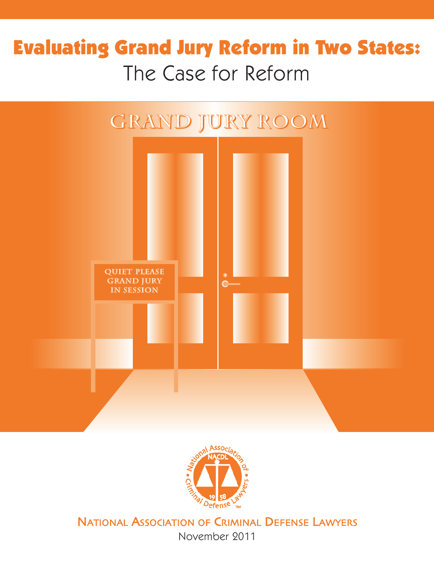# **Evaluating Grand Jury Reform in Two States:** The Case for Reform





NATIONAL ASSOCIATION OF CRIMINAL DEFENSE LAWYERS

November 2011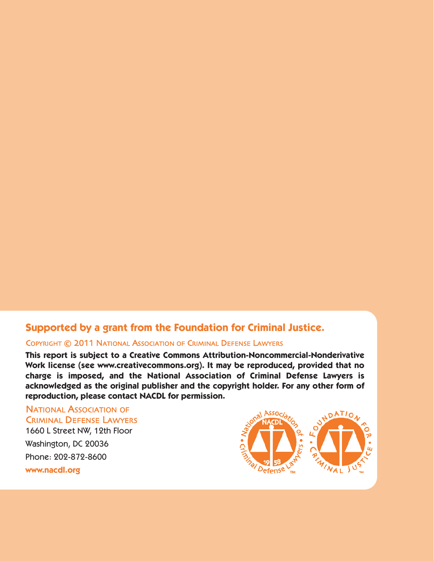# **Supported by a grant from the Foundation for Criminal Justice.**

#### COPYRIGHT © 2011 NATIONAL ASSOCIATION OF CRIMINAL DEFENSE LAWYERS

**This report is subject to a Creative Commons Attribution-Noncommercial-Nonderivative Work license (see www.creativecommons.org). It may be reproduced, provided that no charge is imposed, and the National Association of Criminal Defense Lawyers is acknowledged as the original publisher and the copyright holder. For any other form of reproduction, please contact NACDL for permission.**

**NATIONAL ASSOCIATION OF CRIMINAL DEFENSE LAWYERS** 1660 L Street NW, 12th Floor Washington, DC 20036 Phone: 202-872-8600 **www.nacdl.org**

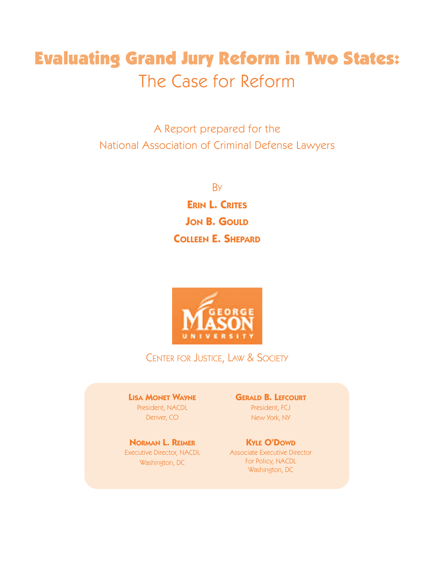# **Evaluating Grand Jury Reform in Two States:** The Case for Reform

A Report prepared for the National Association of Criminal Defense Lawyers

> **B<sub>Y</sub> ERIN L. CRITES JON B. GOULD COLLEEN E. SHEPARD**



CENTER FOR JUSTICE, LAW & SOCIETY

**LISA MONET WAYNE** President, NACDL Denver, CO

**NORMAN L. REIMER** Executive Director, NACDL Washington, DC

**GERALD B. LEFCOURT** President, FCJ

New York, NY

**KYLE O'DOWD** Associate Executive Director For Policy, NACDL Washington, DC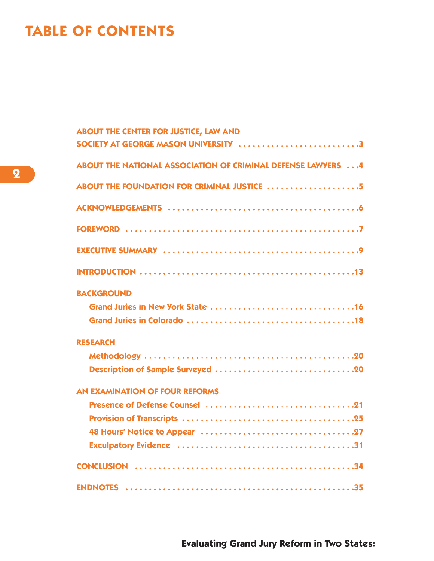# **TABLE OF CONTENTS**

| <b>ABOUT THE CENTER FOR JUSTICE, LAW AND</b><br>SOCIETY AT GEORGE MASON UNIVERSITY 3 |
|--------------------------------------------------------------------------------------|
|                                                                                      |
| ABOUT THE NATIONAL ASSOCIATION OF CRIMINAL DEFENSE LAWYERS 4                         |
| ABOUT THE FOUNDATION FOR CRIMINAL JUSTICE 5                                          |
|                                                                                      |
|                                                                                      |
|                                                                                      |
|                                                                                      |
| <b>BACKGROUND</b>                                                                    |
|                                                                                      |
|                                                                                      |
| <b>RESEARCH</b>                                                                      |
|                                                                                      |
|                                                                                      |
| <b>AN EXAMINATION OF FOUR REFORMS</b>                                                |
|                                                                                      |
|                                                                                      |
|                                                                                      |
|                                                                                      |
|                                                                                      |
|                                                                                      |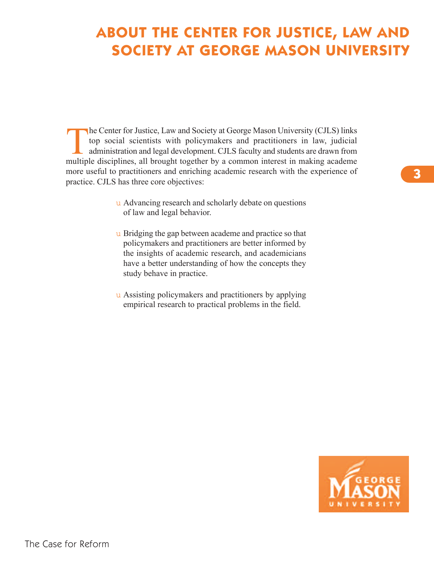# **ABOUT THE CENTER FOR JUSTICE, LAW AND SOCIETY AT GEORGE MASON UNIVERSITY**

The Center for Justice, Law and Society at George Mason University (CJLS) links<br>top social scientists with policymakers and practitioners in law, judicial<br>administration and legal development. CJLS faculty and students are top social scientists with policymakers and practitioners in law, judicial administration and legal development. CJLS faculty and students are drawn from multiple disciplines, all brought together by a common interest in making academe more useful to practitioners and enriching academic research with the experience of practice. CJLS has three core objectives:

- u Advancing research and scholarly debate on questions of law and legal behavior.
- u Bridging the gap between academe and practice so that policymakers and practitioners are better informed by the insights of academic research, and academicians have a better understanding of how the concepts they study behave in practice.
- u Assisting policymakers and practitioners by applying empirical research to practical problems in the field.



**3**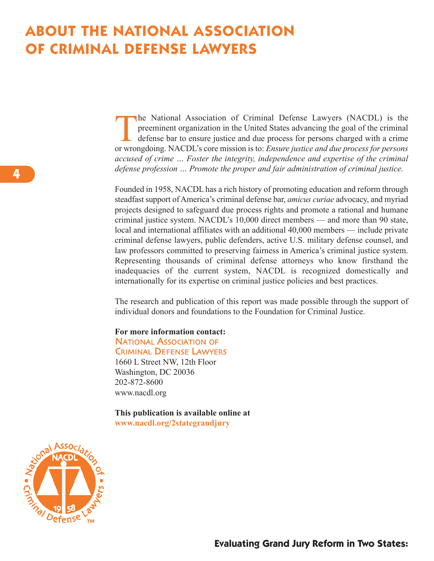# **ABOUT THE NATIONAL ASSOCIATION OF CRIMINAL DEFENSE LAWYERS**

The National Association of Criminal Defense Lawyers (NACDL) is the preeminent organization in the United States advancing the goal of the criminal defense bar to ensure justice and due process for persons charged with a c preeminent organization in the United States advancing the goal of the criminal defense bar to ensure justice and due process for persons charged with a crime or wrongdoing. NACDL's core mission is to: *Ensure justice and due process for persons accused of crime … Foster the integrity, independence and expertise of the criminal defense profession … Promote the proper and fair administration of criminal justice.*

Founded in 1958, NACDL has a rich history of promoting education and reform through steadfast support of America's criminal defense bar, *amicus curiae* advocacy, and myriad projects designed to safeguard due process rights and promote a rational and humane criminal justice system. NACDL's 10,000 direct members — and more than 90 state, local and international affiliates with an additional 40,000 members — include private criminal defense lawyers, public defenders, active U.S. military defense counsel, and law professors committed to preserving fairness in America's criminal justice system. Representing thousands of criminal defense attorneys who know firsthand the inadequacies of the current system, NACDL is recognized domestically and internationally for its expertise on criminal justice policies and best practices.

The research and publication of this report was made possible through the support of individual donors and foundations to the Foundation for Criminal Justice.

### **For more information contact: NATIONAL ASSOCIATION OF**

**CRIMINAL DEFENSE LAWYERS** 

1660 L Street NW, 12th Floor Washington, DC 20036 202-872-8600 www.nacdl.org

**This publication is available online at www.nacdl.org/2stategrandjury**

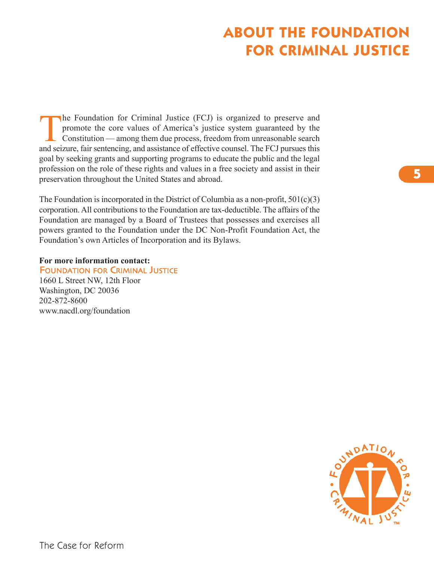# **ABOUT THE FOUNDATION FOR CRIMINAL JUSTICE**

The Foundation for Criminal Justice (FCJ) is organized to preserve and<br>promote the core values of America's justice system guaranteed by the<br>Constitution — among them due process, freedom from unreasonable search<br>and scien promote the core values of America's justice system guaranteed by the Constitution — among them due process, freedom from unreasonable search and seizure, fair sentencing, and assistance of effective counsel. The FCJ pursues this goal by seeking grants and supporting programs to educate the public and the legal profession on the role of these rights and values in a free society and assist in their preservation throughout the United States and abroad.

The Foundation is incorporated in the District of Columbia as a non-profit,  $501(c)(3)$ corporation. All contributions to the Foundation are tax-deductible. The affairs of the Foundation are managed by a Board of Trustees that possesses and exercises all powers granted to the Foundation under the DC Non-Profit Foundation Act, the Foundation's own Articles of Incorporation and its Bylaws.

#### **For more information contact:**

**FOUNDATION FOR CRIMINAL JUSTICE** 1660 L Street NW, 12th Floor Washington, DC 20036 202-872-8600 www.nacdl.org/foundation



**5**

**5**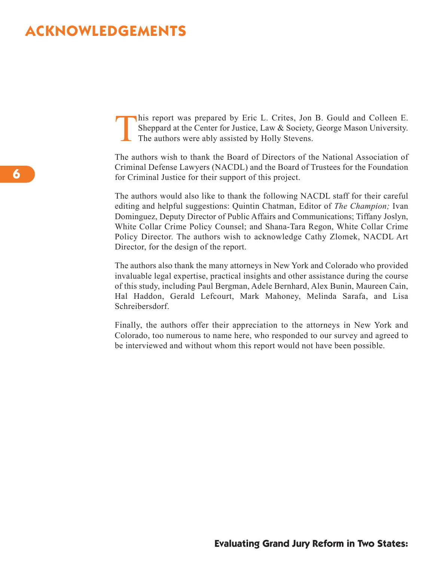# **ACKNOWLEDGEMENTS**

This report was prepared by Eric L. Crites, Jon B. Gould and Colleen E.<br>Sheppard at the Center for Justice, Law & Society, George Mason University.<br>The authors were ably assisted by Holly Stevens. Sheppard at the Center for Justice, Law & Society, George Mason University. The authors were ably assisted by Holly Stevens.

The authors wish to thank the Board of Directors of the National Association of Criminal Defense Lawyers (NACDL) and the Board of Trustees for the Foundation for Criminal Justice for their support of this project.

The authors would also like to thank the following NACDL staff for their careful editing and helpful suggestions: Quintin Chatman, Editor of *The Champion;* Ivan Dominguez, Deputy Director of Public Affairs and Communications; Tiffany Joslyn, White Collar Crime Policy Counsel; and Shana-Tara Regon, White Collar Crime Policy Director. The authors wish to acknowledge Cathy Zlomek, NACDL Art Director, for the design of the report.

The authors also thank the many attorneys in New York and Colorado who provided invaluable legal expertise, practical insights and other assistance during the course of this study, including Paul Bergman, Adele Bernhard, Alex Bunin, Maureen Cain, Hal Haddon, Gerald Lefcourt, Mark Mahoney, Melinda Sarafa, and Lisa Schreibersdorf.

Finally, the authors offer their appreciation to the attorneys in New York and Colorado, too numerous to name here, who responded to our survey and agreed to be interviewed and without whom this report would not have been possible.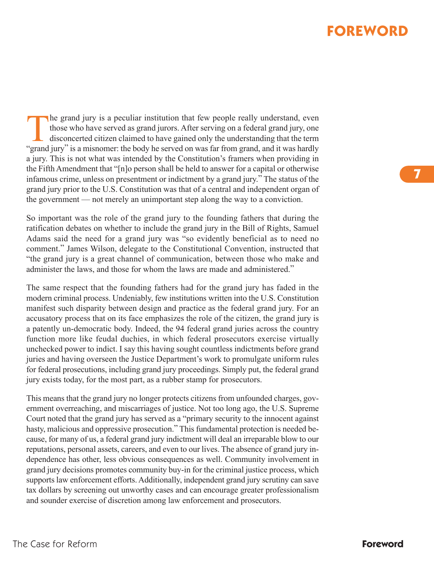# **FOREWORD**

The grand jury is a peculiar institution that few people really understand, even<br>those who have served as grand jurors. After serving on a federal grand jury, one<br>disconcerted citizen claimed to have gained only the unders those who have served as grand jurors. After serving on a federal grand jury, one disconcerted citizen claimed to have gained only the understanding that the term "grand jury" is a misnomer: the body he served on was far from grand, and it was hardly a jury. This is not what was intended by the Constitution's framers when providing in the Fifth Amendment that "[n]o person shall be held to answer for a capital or otherwise infamous crime, unless on presentment or indictment by a grand jury." The status of the grand jury prior to the U.S. Constitution was that of a central and independent organ of the government — not merely an unimportant step along the way to a conviction.

So important was the role of the grand jury to the founding fathers that during the ratification debates on whether to include the grand jury in the Bill of Rights, Samuel Adams said the need for a grand jury was "so evidently beneficial as to need no comment." James Wilson, delegate to the Constitutional Convention, instructed that "the grand jury is a great channel of communication, between those who make and administer the laws, and those for whom the laws are made and administered."

The same respect that the founding fathers had for the grand jury has faded in the modern criminal process. Undeniably, few institutions written into the U.S. Constitution manifest such disparity between design and practice as the federal grand jury. For an accusatory process that on its face emphasizes the role of the citizen, the grand jury is a patently un-democratic body. Indeed, the 94 federal grand juries across the country function more like feudal duchies, in which federal prosecutors exercise virtually unchecked power to indict. I say this having sought countless indictments before grand juries and having overseen the Justice Department's work to promulgate uniform rules for federal prosecutions, including grand jury proceedings. Simply put, the federal grand jury exists today, for the most part, as a rubber stamp for prosecutors.

This means that the grand jury no longer protects citizens from unfounded charges, government overreaching, and miscarriages of justice. Not too long ago, the U.S. Supreme Court noted that the grand jury has served as a "primary security to the innocent against hasty, malicious and oppressive prosecution." This fundamental protection is needed because, for many of us, a federal grand jury indictment will deal an irreparable blow to our reputations, personal assets, careers, and even to our lives. The absence of grand jury independence has other, less obvious consequences as well. Community involvement in grand jury decisions promotes community buy-in for the criminal justice process, which supports law enforcement efforts. Additionally, independent grand jury scrutiny can save tax dollars by screening out unworthy cases and can encourage greater professionalism and sounder exercise of discretion among law enforcement and prosecutors.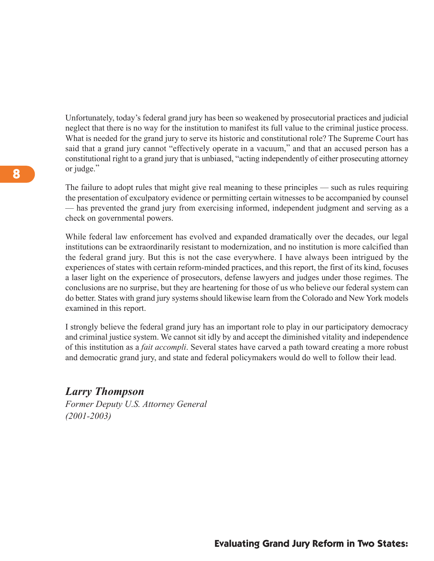Unfortunately, today's federal grand jury has been so weakened by prosecutorial practices and judicial neglect that there is no way for the institution to manifest its full value to the criminal justice process. What is needed for the grand jury to serve its historic and constitutional role? The Supreme Court has said that a grand jury cannot "effectively operate in a vacuum," and that an accused person has a constitutional right to a grand jury that is unbiased, "acting independently of either prosecuting attorney or judge."

The failure to adopt rules that might give real meaning to these principles — such as rules requiring the presentation of exculpatory evidence or permitting certain witnesses to be accompanied by counsel — has prevented the grand jury from exercising informed, independent judgment and serving as a check on governmental powers.

While federal law enforcement has evolved and expanded dramatically over the decades, our legal institutions can be extraordinarily resistant to modernization, and no institution is more calcified than the federal grand jury. But this is not the case everywhere. I have always been intrigued by the experiences of states with certain reform-minded practices, and this report, the first of its kind, focuses a laser light on the experience of prosecutors, defense lawyers and judges under those regimes. The conclusions are no surprise, but they are heartening for those of us who believe our federal system can do better. States with grand jury systems should likewise learn from the Colorado and New York models examined in this report.

I strongly believe the federal grand jury has an important role to play in our participatory democracy and criminal justice system. We cannot sit idly by and accept the diminished vitality and independence of this institution as a *fait accompli*. Several states have carved a path toward creating a more robust and democratic grand jury, and state and federal policymakers would do well to follow their lead.

### *Larry Thompson*

*Former Deputy U.S. Attorney General (2001-2003)*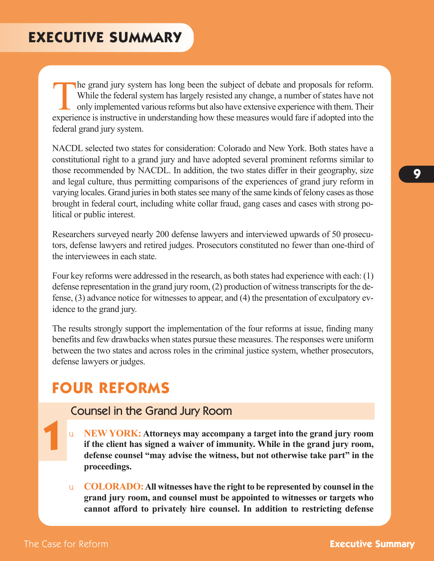The grand jury system has long been the subject of debate and proposals for reform.<br>While the federal system has largely resisted any change, a number of states have not<br>only implemented various reforms but also have exten While the federal system has largely resisted any change, a number of states have not only implemented various reforms but also have extensive experience with them. Their experience is instructive in understanding how these measures would fare if adopted into the federal grand jury system.

NACDL selected two states for consideration: Colorado and New York. Both states have a constitutional right to a grand jury and have adopted several prominent reforms similar to those recommended by NACDL. In addition, the two states differ in their geography, size and legal culture, thus permitting comparisons of the experiences of grand jury reform in varying locales. Grand juries in both states see many of the same kinds of felony cases as those brought in federal court, including white collar fraud, gang cases and cases with strong political or public interest.

Researchers surveyed nearly 200 defense lawyers and interviewed upwards of 50 prosecutors, defense lawyers and retired judges. Prosecutors constituted no fewer than one-third of the interviewees in each state.

Four key reforms were addressed in the research, as both states had experience with each: (1) defense representation in the grand jury room,  $(2)$  production of witness transcripts for the defense, (3) advance notice for witnesses to appear, and (4) the presentation of exculpatory evidence to the grand jury.

The results strongly support the implementation of the four reforms at issue, finding many benefits and few drawbacks when states pursue these measures. The responses were uniform between the two states and across roles in the criminal justice system, whether prosecutors, defense lawyers or judges.

# **FOUR REFORMS**

# Counsel in the Grand Jury Room

- u **New York: Attorneys may accompany a target into the grand jury room if the client has signed a waiver of immunity. while in the grand jury room, defense counsel "may advise the witness, but not otherwise take part" in the proceedings.**
- u **colorAdo:All witnesses have the right to be represented by counsel in the grand jury room, and counsel must be appointed to witnesses or targets who cannot afford to privately hire counsel. In addition to restricting defense**

**1**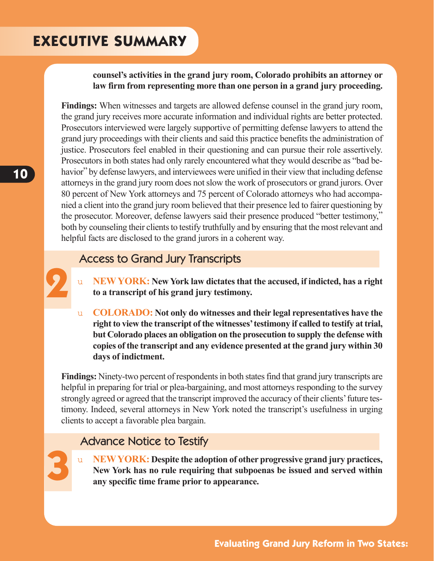# **EXECUTIVE SUMMARY**

### **counsel's activities in the grand jury room, colorado prohibits an attorney or law firm from representing more than one person in a grand jury proceeding.**

**Findings:** When witnesses and targets are allowed defense counsel in the grand jury room, the grand jury receives more accurate information and individual rights are better protected. Prosecutors interviewed were largely supportive of permitting defense lawyers to attend the grand jury proceedings with their clients and said this practice benefits the administration of justice. Prosecutors feel enabled in their questioning and can pursue their role assertively. Prosecutors in both states had only rarely encountered what they would describe as "bad behavior" by defense lawyers, and interviewees were unified in their view that including defense attorneys in the grand jury room does not slow the work of prosecutors or grand jurors. Over 80 percent of New York attorneys and 75 percent of Colorado attorneys who had accompanied a client into the grand jury room believed that their presence led to fairer questioning by the prosecutor. Moreover, defense lawyers said their presence produced "better testimony," both by counseling their clients to testify truthfully and by ensuring that the most relevant and helpful facts are disclosed to the grand jurors in a coherent way.

# Access to Grand Jury Transcripts

- u **NewYork: New York law dictates that the accused, if indicted, has a right to a transcript of his grand jury testimony.**
- u **colorAdo: Not only do witnesses and their legal representatives have the right to view the transcript of the witnesses'testimony if called to testify at trial, but colorado places an obligation on the prosecution to supply the defense with copies of the transcript and any evidence presented at the grand jury within 30 days of indictment.**

**Findings:** Ninety-two percent of respondents in both states find that grand jury transcripts are helpful in preparing for trial or plea-bargaining, and most attorneys responding to the survey strongly agreed or agreed that the transcript improved the accuracy of their clients' future testimony. Indeed, several attorneys in New York noted the transcript's usefulness in urging clients to accept a favorable plea bargain.

# Advance Notice to Testify

**3**

**2**

u **NewYork: despite the adoption of other progressive grand jury practices, New York has no rule requiring that subpoenas be issued and served within any specific time frame prior to appearance.**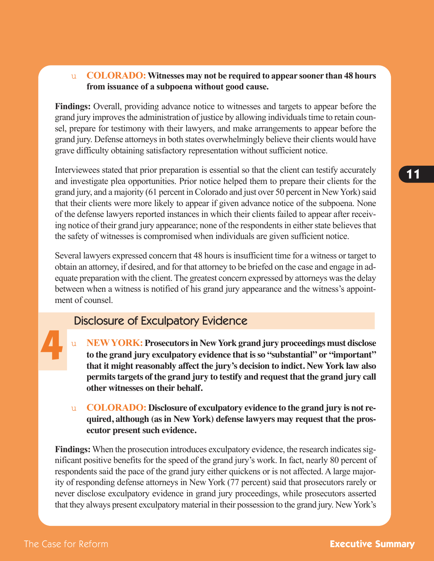### u **colorAdo:witnesses may not be required to appear sooner than 48 hours from issuance of a subpoena without good cause.**

**Findings:** Overall, providing advance notice to witnesses and targets to appear before the grand jury improves the administration of justice by allowing individuals time to retain counsel, prepare for testimony with their lawyers, and make arrangements to appear before the grand jury. Defense attorneys in both states overwhelmingly believe their clients would have grave difficulty obtaining satisfactory representation without sufficient notice.

Interviewees stated that prior preparation is essential so that the client can testify accurately and investigate plea opportunities. Prior notice helped them to prepare their clients for the grand jury, and a majority (61 percent in Colorado and just over 50 percent in New York) said that their clients were more likely to appear if given advance notice of the subpoena. None of the defense lawyers reported instances in which their clients failed to appear after receiving notice of their grand jury appearance; none of the respondents in either state believes that the safety of witnesses is compromised when individuals are given sufficient notice.

Several lawyers expressed concern that 48 hours is insufficient time for a witness or target to obtain an attorney, if desired, and for that attorney to be briefed on the case and engage in adequate preparation with the client. The greatest concern expressed by attorneys wasthe delay between when a witness is notified of his grand jury appearance and the witness's appointment of counsel.

# Disclosure of Exculpatory Evidence

- u **NewYork: Prosecutorsin NewYork grand jury proceedings must disclose to the grand jury exculpatory evidence that isso "substantial" or "important" that it might reasonably affect the jury's decision to indict. New York law also permitstargets of the grand jury to testify and request that the grand jury call other witnesses on their behalf.**
- u **colorAdo: Disclosure of exculpatory evidence to the grand jury is not required, although (as in New York) defense lawyers may request that the prosecutor present such evidence.**

**Findings:** When the prosecution introduces exculpatory evidence, the research indicates significant positive benefits for the speed of the grand jury's work. In fact, nearly 80 percent of respondents said the pace of the grand jury either quickens or is not affected. A large majority of responding defense attorneys in New York (77 percent) said that prosecutors rarely or never disclose exculpatory evidence in grand jury proceedings, while prosecutors asserted that they always present exculpatory material in their possession to the grand jury. NewYork's

**4**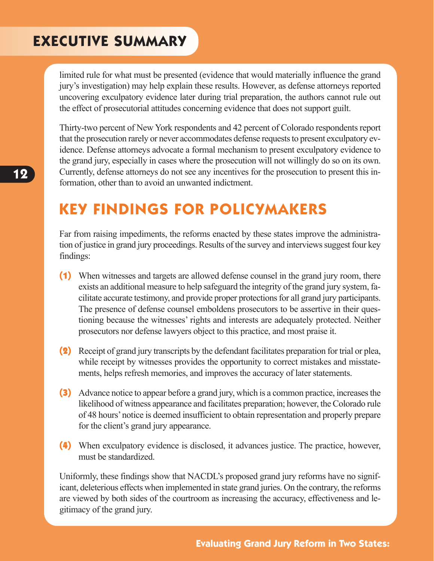# **EXECUTIVE SUMMARY**

limited rule for what must be presented (evidence that would materially influence the grand jury's investigation) may help explain these results. However, as defense attorneys reported uncovering exculpatory evidence later during trial preparation, the authors cannot rule out the effect of prosecutorial attitudes concerning evidence that does not support guilt.

Thirty-two percent of New York respondents and 42 percent of Colorado respondents report that the prosecution rarely or never accommodates defense requests to present exculpatory evidence. Defense attorneys advocate a formal mechanism to present exculpatory evidence to the grand jury, especially in cases where the prosecution will not willingly do so on its own. Currently, defense attorneys do not see any incentives for the prosecution to present this information, other than to avoid an unwanted indictment.

# **KEY FINDINGS FOR POLICYMAKERS**

Far from raising impediments, the reforms enacted by these states improve the administration of justice in grand jury proceedings. Results of the survey and interviews suggest four key findings:

- **(1)** When witnesses and targets are allowed defense counsel in the grand jury room, there exists an additional measure to help safeguard the integrity of the grand jury system, facilitate accurate testimony, and provide proper protectionsfor all grand jury participants. The presence of defense counsel emboldens prosecutors to be assertive in their questioning because the witnesses' rights and interests are adequately protected. Neither prosecutors nor defense lawyers object to this practice, and most praise it.
- **(2)** Receipt of grand jury transcripts by the defendant facilitates preparation for trial or plea, while receipt by witnesses provides the opportunity to correct mistakes and misstatements, helps refresh memories, and improves the accuracy of later statements.
- **(3)** Advance notice to appear before a grand jury, which is a common practice, increases the likelihood of witness appearance and facilitates preparation; however, the Colorado rule of 48 hours'notice is deemed insufficient to obtain representation and properly prepare for the client's grand jury appearance.
- **(4)** When exculpatory evidence is disclosed, it advances justice. The practice, however, must be standardized.

Uniformly, these findings show that NACDL's proposed grand jury reforms have no significant, deleterious effects when implemented in state grand juries. On the contrary, the reforms are viewed by both sides of the courtroom as increasing the accuracy, effectiveness and legitimacy of the grand jury.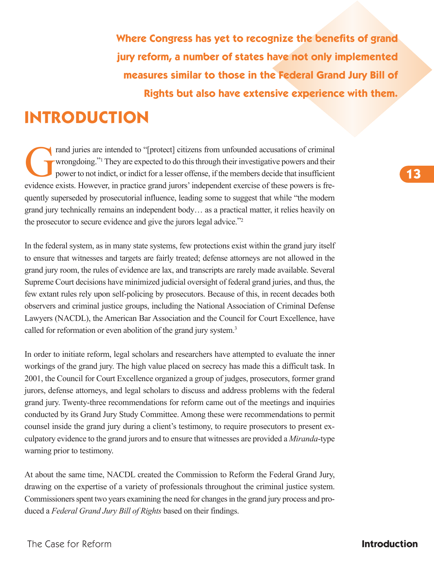**Where Congress has yet to recognize the benefits of grand jury reform, a number of states have not only implemented measures similar to those in the Federal Grand Jury Bill of Rights but also have extensive experience with them.**

# **INTRODUCTION**

rand juries are intended to "[protect] citizens from unfounded accusations of criminal<br>wrongdoing."<sup>1</sup> They are expected to do this through their investigative powers and their<br>power to not indict, or indict for a lesser o wrongdoing."<sup>1</sup> They are expected to do this through their investigative powers and their power to not indict, or indict for a lesser offense, if the members decide that insufficient evidence exists. However, in practice grand jurors'independent exercise of these powers is frequently superseded by prosecutorial influence, leading some to suggest that while "the modern grand jury technically remains an independent body… as a practical matter, it relies heavily on the prosecutor to secure evidence and give the jurors legal advice."2

In the federal system, as in many state systems, few protections exist within the grand jury itself to ensure that witnesses and targets are fairly treated; defense attorneys are not allowed in the grand jury room, the rules of evidence are lax, and transcripts are rarely made available. Several Supreme Court decisions have minimized judicial oversight of federal grand juries, and thus, the few extant rules rely upon self-policing by prosecutors. Because of this, in recent decades both observers and criminal justice groups, including the National Association of Criminal Defense Lawyers (NACDL), the American Bar Association and the Council for Court Excellence, have called for reformation or even abolition of the grand jury system.<sup>3</sup>

In order to initiate reform, legal scholars and researchers have attempted to evaluate the inner workings of the grand jury. The high value placed on secrecy has made this a difficult task. In 2001, the Council for Court Excellence organized a group of judges, prosecutors, former grand jurors, defense attorneys, and legal scholars to discuss and address problems with the federal grand jury. Twenty-three recommendations for reform came out of the meetings and inquiries conducted by its Grand Jury Study Committee. Among these were recommendations to permit counsel inside the grand jury during a client's testimony, to require prosecutors to present exculpatory evidence to the grand jurors and to ensure that witnesses are provided a *Miranda*-type warning prior to testimony.

At about the same time, NACDL created the Commission to Reform the Federal Grand Jury, drawing on the expertise of a variety of professionals throughout the criminal justice system. Commissioners spent two years examining the need for changes in the grand jury process and produced a *Federal Grand Jury Bill of Rights* based on their findings.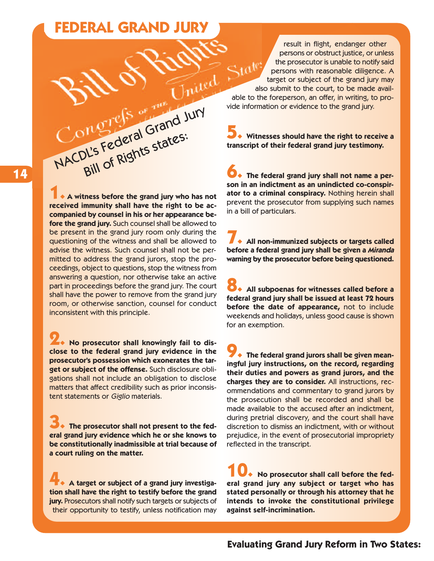# **FEDERAL GRAND JURY**

Congress of Grand Jury

I's Federal states:<br>Bill of Rights states:

result in flight, endanger other persons or obstruct justice, or unless the prosecutor is unable to notify said persons with reasonable diligence. A target or subject of the grand jury may also submit to the court, to be made available to the foreperson, an offer, in writing, to provide information or evidence to the grand jury.

**Witnesses should have the right to receive a 5. transcript of their federal grand jury testimony.**

**The federal grand jury shall not name a per-6. son in an indictment as an unindicted co-conspirator to a criminal conspiracy.** Nothing herein shall prevent the prosecutor from supplying such names in a bill of particulars.

**All non-immunized subjects or targets called 7. before a federal grand jury shall be given a Miranda warning by the prosecutor before being questioned.**

**All subpoenas for witnesses called before a 8. federal grand jury shall be issued at least 72 hours before the date of appearance,** not to include weekends and holidays, unless good cause is shown for an exemption.

**The federal grand jurors shall be given mean-9. ingful jury instructions, on the record, regarding their duties and powers as grand jurors, and the charges they are to consider.** All instructions, recommendations and commentary to grand jurors by the prosecution shall be recorded and shall be made available to the accused after an indictment, during pretrial discovery, and the court shall have discretion to dismiss an indictment, with or without prejudice, in the event of prosecutorial impropriety reflected in the transcript.

**No prosecutor shall call before the federal grand jury any subject or target who has stated personally or through his attorney that he intends to invoke the constitutional privilege against self-incrimination. 10.**

**A witness before the grand jury who has not 1. received immunity shall have the right to be accompanied by counsel in his or her appearance before the grand jury.** Such counsel shall be allowed to be present in the grand jury room only during the questioning of the witness and shall be allowed to advise the witness. Such counsel shall not be permitted to address the grand jurors, stop the proceedings, object to questions, stop the witness from answering a question, nor otherwise take an active part in proceedings before the grand jury. The court shall have the power to remove from the grand jury room, or otherwise sanction, counsel for conduct inconsistent with this principle.

**No prosecutor shall knowingly fail to dis-2. close to the federal grand jury evidence in the prosecutor's possession which exonerates the target or subject of the offense.** Such disclosure obligations shall not include an obligation to disclose matters that affect credibility such as prior inconsistent statements or Giglio materials.

**The prosecutor shall not present to the federal grand jury evidence which he or she knows to be constitutionally inadmissible at trial because of a court ruling on the matter. 3.**

**A target or subject of a grand jury investigation shall have the right to testify before the grand jury.** Prosecutors shall notify such targets or subjects of their opportunity to testify, unless notification may **4.**

**Evaluating Grand Jury Reform in Two States:**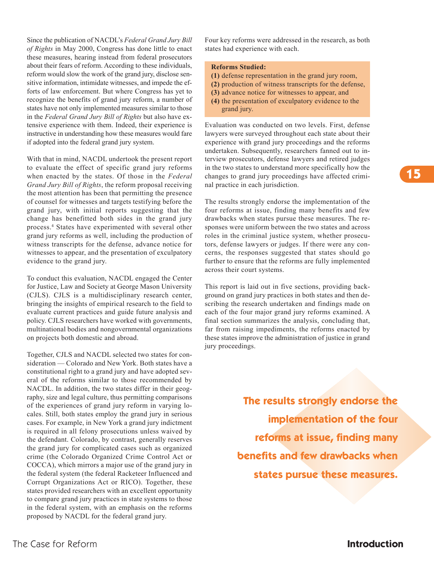**15**

Since the publication of NACDL's *Federal Grand Jury Bill of Rights* in May 2000, Congress has done little to enact these measures, hearing instead from federal prosecutors about their fears of reform. According to these individuals, reform would slow the work of the grand jury, disclose sensitive information, intimidate witnesses, and impede the efforts of law enforcement. But where Congress has yet to recognize the benefits of grand jury reform, a number of states have not only implemented measures similar to those in the *Federal Grand Jury Bill of Rights* but also have extensive experience with them. Indeed, their experience is instructive in understanding how these measures would fare if adopted into the federal grand jury system.

With that in mind, NACDL undertook the present report to evaluate the effect of specific grand jury reforms when enacted by the states. Of those in the *Federal Grand Jury Bill of Rights*, the reform proposal receiving the most attention has been that permitting the presence of counsel for witnesses and targets testifying before the grand jury, with initial reports suggesting that the change has benefitted both sides in the grand jury process. <sup>4</sup> States have experimented with several other grand jury reforms as well, including the production of witness transcripts for the defense, advance notice for witnesses to appear, and the presentation of exculpatory evidence to the grand jury.

To conduct this evaluation, NACDL engaged the Center for Justice, Law and Society at George Mason University (CJLS). CJLS is a multidisciplinary research center, bringing the insights of empirical research to the field to evaluate current practices and guide future analysis and policy. CJLS researchers have worked with governments, multinational bodies and nongovernmental organizations on projects both domestic and abroad.

Together, CJLS and NACDL selected two states for consideration — Colorado and New York. Both states have a constitutional right to a grand jury and have adopted several of the reforms similar to those recommended by NACDL. In addition, the two states differ in their geography, size and legal culture, thus permitting comparisons of the experiences of grand jury reform in varying locales. Still, both states employ the grand jury in serious cases. For example, in New York a grand jury indictment is required in all felony prosecutions unless waived by the defendant. Colorado, by contrast, generally reserves the grand jury for complicated cases such as organized crime (the Colorado Organized Crime Control Act or COCCA), which mirrors a major use of the grand jury in the federal system (the federal Racketeer Influenced and Corrupt Organizations Act or RICO). Together, these states provided researchers with an excellent opportunity to compare grand jury practices in state systems to those in the federal system, with an emphasis on the reforms proposed by NACDL for the federal grand jury.

Four key reforms were addressed in the research, as both states had experience with each.

#### **reforms Studied:**

- **(1)** defense representation in the grand jury room,
- **(2)** production of witness transcripts for the defense,
- **(3)** advance notice for witnesses to appear, and
- **(4)** the presentation of exculpatory evidence to the grand jury.

Evaluation was conducted on two levels. First, defense lawyers were surveyed throughout each state about their experience with grand jury proceedings and the reforms undertaken. Subsequently, researchers fanned out to interview prosecutors, defense lawyers and retired judges in the two states to understand more specifically how the changes to grand jury proceedings have affected criminal practice in each jurisdiction.

The results strongly endorse the implementation of the four reforms at issue, finding many benefits and few drawbacks when states pursue these measures. The responses were uniform between the two states and across roles in the criminal justice system, whether prosecutors, defense lawyers or judges. If there were any concerns, the responses suggested that states should go further to ensure that the reforms are fully implemented across their court systems.

This report is laid out in five sections, providing background on grand jury practices in both states and then describing the research undertaken and findings made on each of the four major grand jury reforms examined. A final section summarizes the analysis, concluding that, far from raising impediments, the reforms enacted by these states improve the administration of justice in grand jury proceedings.

> **The results strongly endorse the implementation of the four reforms at issue, finding many benefits and few drawbacks when states pursue these measures.**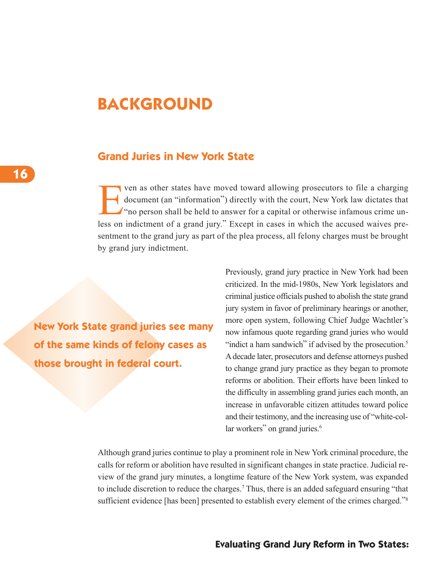# **BACKGROUND**

### **Grand Juries in New York State**

Ven as other states have moved toward allowing prosecutors to file a charging<br>document (an "information") directly with the court, New York law dictates that<br>"no person shall be held to answer for a capital or otherwise in document (an "information") directly with the court, New York law dictates that "no person shall be held to answer for a capital or otherwise infamous crime unless on indictment of a grand jury." Except in cases in which the accused waives presentment to the grand jury as part of the plea process, all felony charges must be brought by grand jury indictment.

**New York State grand juries see many of the same kinds of felony cases as those brought in federal court.**

Previously, grand jury practice in New York had been criticized. In the mid-1980s, New York legislators and criminal justice officials pushed to abolish the state grand jury system in favor of preliminary hearings or another, more open system, following Chief Judge Wachtler's now infamous quote regarding grand juries who would "indict a ham sandwich" if advised by the prosecution.<sup>5</sup> Adecade later, prosecutors and defense attorneys pushed to change grand jury practice as they began to promote reforms or abolition. Their efforts have been linked to the difficulty in assembling grand juries each month, an increase in unfavorable citizen attitudes toward police and their testimony, and the increasing use of "white-collar workers" on grand juries.<sup>6</sup>

Although grand juries continue to play a prominent role in New York criminal procedure, the calls for reform or abolition have resulted in significant changes in state practice. Judicial review of the grand jury minutes, a longtime feature of the New York system, was expanded to include discretion to reduce the charges. <sup>7</sup> Thus, there is an added safeguard ensuring "that sufficient evidence [has been] presented to establish every element of the crimes charged."<sup>8</sup>

### **Evaluating Grand Jury Reform in Two States:**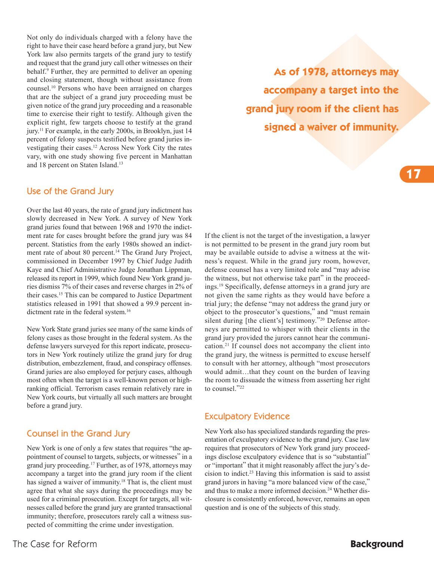Not only do individuals charged with a felony have the right to have their case heard before a grand jury, but New York law also permits targets of the grand jury to testify and request that the grand jury call other witnesses on their behalf. <sup>9</sup> Further, they are permitted to deliver an opening and closing statement, though without assistance from counsel. <sup>10</sup> Persons who have been arraigned on charges that are the subject of a grand jury proceeding must be given notice of the grand jury proceeding and a reasonable time to exercise their right to testify. Although given the explicit right, few targets choose to testify at the grand jury. <sup>11</sup> For example, in the early 2000s, in Brooklyn, just 14 percent of felony suspects testified before grand juries investigating their cases. <sup>12</sup> Across New York City the rates vary, with one study showing five percent in Manhattan and 18 percent on Staten Island. 13

### Use of the Grand Jury

Over the last 40 years, the rate of grand jury indictment has slowly decreased in New York. A survey of New York grand juries found that between 1968 and 1970 the indictment rate for cases brought before the grand jury was 84 percent. Statistics from the early 1980s showed an indictment rate of about 80 percent. <sup>14</sup> The Grand Jury Project, commissioned in December 1997 by Chief Judge Judith Kaye and Chief Administrative Judge Jonathan Lippman, released its report in 1999, which found New York grand juries dismiss 7% of their cases and reverse charges in 2% of their cases. <sup>15</sup> This can be compared to Justice Department statistics released in 1991 that showed a 99.9 percent indictment rate in the federal system. 16

New York State grand juries see many of the same kinds of felony cases as those brought in the federal system. As the defense lawyers surveyed for this report indicate, prosecutors in New York routinely utilize the grand jury for drug distribution, embezzlement, fraud, and conspiracy offenses. Grand juries are also employed for perjury cases, although most often when the target is a well-known person or highranking official. Terrorism cases remain relatively rare in New York courts, but virtually all such matters are brought before a grand jury.

### Counsel in the Grand Jury

New York is one of only a few states that requires "the appointment of counsel to targets, subjects, or witnesses" in a grand jury proceeding. <sup>17</sup> Further, as of 1978, attorneys may accompany a target into the grand jury room if the client has signed a waiver of immunity.<sup>18</sup> That is, the client must agree that what she says during the proceedings may be used for a criminal prosecution. Except for targets, all witnesses called before the grand jury are granted transactional immunity; therefore, prosecutors rarely call a witness suspected of committing the crime under investigation.

The Case for Reform **Background**

**As of 1978, attorneys may accompany a target into the grand jury room if the client has signed a waiver of immunity.**

If the client is not the target of the investigation, a lawyer is not permitted to be present in the grand jury room but may be available outside to advise a witness at the witness's request. While in the grand jury room, however, defense counsel has a very limited role and "may advise the witness, but not otherwise take part" in the proceedings. <sup>19</sup> Specifically, defense attorneys in a grand jury are not given the same rights as they would have before a trial jury; the defense "may not address the grand jury or object to the prosecutor's questions," and "must remain silent during [the client's] testimony."<sup>20</sup> Defense attorneys are permitted to whisper with their clients in the grand jury provided the jurors cannot hear the communication. <sup>21</sup> If counsel does not accompany the client into the grand jury, the witness is permitted to excuse herself to consult with her attorney, although "most prosecutors would admit...that they count on the burden of leaving the room to dissuade the witness from asserting her right to counsel."22

### Exculpatory Evidence

New York also has specialized standards regarding the presentation of exculpatory evidence to the grand jury. Case law requires that prosecutors of New York grand jury proceedings disclose exculpatory evidence that is so "substantial" or "important" that it might reasonably affect the jury's decision to indict. <sup>23</sup> Having this information is said to assist grand jurors in having "a more balanced view of the case," and thus to make a more informed decision. <sup>24</sup> Whether disclosure is consistently enforced, however, remains an open question and is one of the subjects of this study.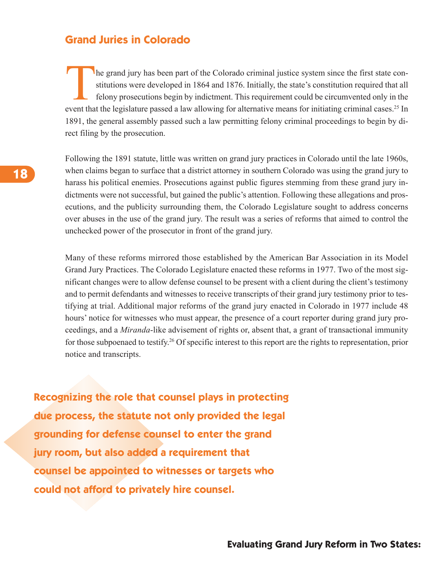### **Grand Juries in Colorado**

The grand jury has been part of the Colorado criminal justice system since the first state con-<br>stitutions were developed in 1864 and 1876. Initially, the state's constitution required that all<br>felony prosecutions begin by stitutions were developed in 1864 and 1876. Initially, the state's constitution required that all felony prosecutions begin by indictment. This requirement could be circumvented only in the event that the legislature passed a law allowing for alternative means for initiating criminal cases.<sup>25</sup> In 1891, the general assembly passed such a law permitting felony criminal proceedings to begin by direct filing by the prosecution.

Following the 1891 statute, little was written on grand jury practices in Colorado until the late 1960s, when claims began to surface that a district attorney in southern Colorado was using the grand jury to harass his political enemies. Prosecutions against public figures stemming from these grand jury indictments were not successful, but gained the public's attention. Following these allegations and prosecutions, and the publicity surrounding them, the Colorado Legislature sought to address concerns over abuses in the use of the grand jury. The result was a series of reforms that aimed to control the unchecked power of the prosecutor in front of the grand jury.

Many of these reforms mirrored those established by the American Bar Association in its Model Grand Jury Practices. The Colorado Legislature enacted these reforms in 1977. Two of the most significant changes were to allow defense counsel to be present with a client during the client's testimony and to permit defendants and witnesses to receive transcripts of their grand jury testimony prior to testifying at trial. Additional major reforms of the grand jury enacted in Colorado in 1977 include 48 hours' notice for witnesses who must appear, the presence of a court reporter during grand jury proceedings, and a *Miranda*-like advisement of rights or, absent that, a grant of transactional immunity for those subpoenaed to testify. <sup>26</sup> Of specific interest to this report are the rights to representation, prior notice and transcripts.

**Recognizing the role that counsel plays in protecting due process, the statute not only provided the legal grounding for defense counsel to enter the grand jury room, but also added a requirement that counsel be appointed to witnesses or targets who could not afford to privately hire counsel.**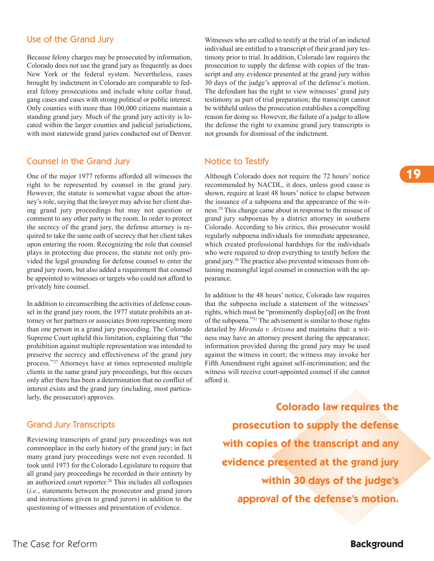### Use of the Grand Jury

Because felony charges may be prosecuted by information, Colorado does not use the grand jury as frequently as does New York or the federal system. Nevertheless, cases brought by indictment in Colorado are comparable to federal felony prosecutions and include white collar fraud, gang cases and cases with strong political or public interest. Only counties with more than 100,000 citizens maintain a standing grand jury. Much of the grand jury activity is located within the larger counties and judicial jurisdictions, with most statewide grand juries conducted out of Denver.

#### Counsel in the Grand Jury

One of the major 1977 reforms afforded all witnesses the right to be represented by counsel in the grand jury. However, the statute is somewhat vague about the attorney's role, saying that the lawyer may advise her client during grand jury proceedings but may not question or comment to any other party in the room. In order to protect the secrecy of the grand jury, the defense attorney is required to take the same oath of secrecy that her client takes upon entering the room. Recognizing the role that counsel plays in protecting due process, the statute not only provided the legal grounding for defense counsel to enter the grand jury room, but also added a requirement that counsel be appointed to witnesses or targets who could not afford to privately hire counsel.

In addition to circumscribing the activities of defense counsel in the grand jury room, the 1977 statute prohibits an attorney or her partners or associates from representing more than one person in a grand jury proceeding. The Colorado Supreme Court upheld this limitation, explaining that "the prohibition against multiple representation was intended to preserve the secrecy and effectiveness of the grand jury process."27 Attorneys have at times represented multiple clients in the same grand jury proceedings, but this occurs only after there has been a determination that no conflict of interest exists and the grand jury (including, most particularly, the prosecutor) approves.

### Grand Jury Transcripts

Reviewing transcripts of grand jury proceedings was not commonplace in the early history of the grand jury; in fact many grand jury proceedings were not even recorded. It took until 1973 for the Colorado Legislature to require that all grand jury proceedings be recorded in their entirety by an authorized court reporter. <sup>28</sup> This includes all colloquies (*i.e.*, statements between the prosecutor and grand jurors and instructions given to grand jurors) in addition to the questioning of witnesses and presentation of evidence.

Witnesses who are called to testify at the trial of an indicted individual are entitled to a transcript of their grand jury testimony prior to trial. In addition, Colorado law requires the prosecution to supply the defense with copies of the transcript and any evidence presented at the grand jury within 30 days of the judge's approval of the defense's motion. The defendant has the right to view witnesses' grand jury testimony as part of trial preparation; the transcript cannot be withheld unless the prosecution establishes a compelling reason for doing so. However, the failure of a judge to allow the defense the right to examine grand jury transcripts is not grounds for dismissal of the indictment.

### Notice to Testify

Although Colorado does not require the 72 hours' notice recommended by NACDL, it does, unless good cause is shown, require at least 48 hours' notice to elapse between the issuance of a subpoena and the appearance of the witness. <sup>29</sup> This change came about in response to the misuse of grand jury subpoenas by a district attorney in southern Colorado. According to his critics, this prosecutor would regularly subpoena individuals for immediate appearance, which created professional hardships for the individuals who were required to drop everything to testify before the grand jury. <sup>30</sup> The practice also prevented witnesses from obtaining meaningful legal counsel in connection with the appearance.

In addition to the 48 hours' notice, Colorado law requires that the subpoena include a statement of the witnesses' rights, which must be "prominently display[ed] on the front of the subpoena."31 The advisement is similar to those rights detailed by *Miranda v. Arizona* and maintains that: a witness may have an attorney present during the appearance; information provided during the grand jury may be used against the witness in court; the witness may invoke her Fifth Amendment right against self-incrimination; and the witness will receive court-appointed counsel if she cannot afford it.

> **Colorado law requires the prosecution to supply the defense with copies of the transcript and any evidence presented at the grand jury within 30 days of the judge's approval of the defense's motion.**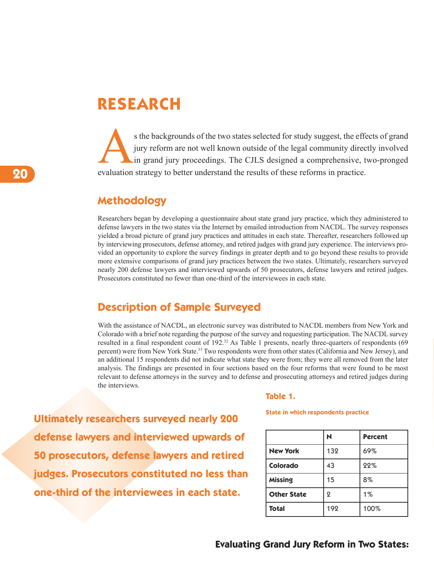# **RESEARCH**

s the backgrounds of the two states selected for study suggest, the effects of grand<br>jury reform are not well known outside of the legal community directly involved<br>in grand jury proceedings. The CJLS designed a comprehens jury reform are not well known outside of the legal community directly involved in grand jury proceedings. The CJLS designed a comprehensive, two-pronged evaluation strategy to better understand the results of these reforms in practice.

## **Methodology**

Researchers began by developing a questionnaire about state grand jury practice, which they administered to defense lawyers in the two states via the Internet by emailed introduction from NACDL. The survey responses yielded a broad picture of grand jury practices and attitudes in each state. Thereafter, researchers followed up by interviewing prosecutors, defense attorney, and retired judges with grand jury experience. The interviews provided an opportunity to explore the survey findings in greater depth and to go beyond these results to provide more extensive comparisons of grand jury practices between the two states. Ultimately, researchers surveyed nearly 200 defense lawyers and interviewed upwards of 50 prosecutors, defense lawyers and retired judges. Prosecutors constituted no fewer than one-third of the interviewees in each state.

# **Description of Sample Surveyed**

With the assistance of NACDL, an electronic survey was distributed to NACDL members from New York and Colorado with a brief note regarding the purpose of the survey and requesting participation. The NACDL survey resulted in a final respondent count of 192. <sup>32</sup> As Table 1 presents, nearly three-quarters of respondents (69 percent) were from New York State. <sup>33</sup> Two respondents were from other states (California and New Jersey), and an additional 15 respondents did not indicate what state they were from; they were all removed from the later analysis. The findings are presented in four sections based on the four reforms that were found to be most relevant to defense attorneys in the survey and to defense and prosecuting attorneys and retired judges during the interviews.

**Ultimately researchers surveyed nearly 200 defense lawyers and interviewed upwards of 50 prosecutors, defense lawyers and retired judges. Prosecutors constituted no less than one-third of the interviewees in each state.**

#### **Table 1.**

**State in which respondents practice**

|                    | N   | <b>Percent</b> |
|--------------------|-----|----------------|
| <b>New York</b>    | 132 | 69%            |
| Colorado           | 43  | 22%            |
| <b>Missing</b>     | 15  | 8%             |
| <b>Other State</b> | ջ   | $1\%$          |
| <b>Total</b>       | 192 | 100%           |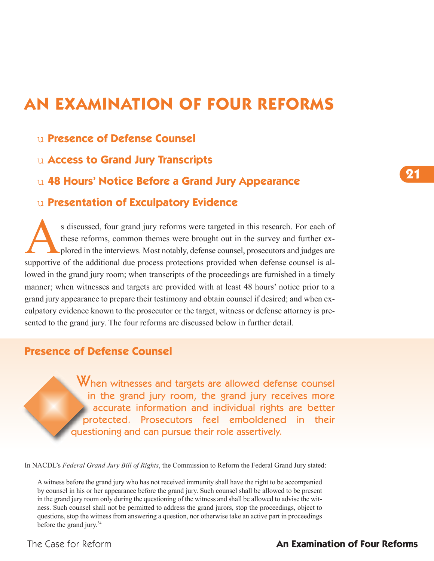# **AN EXAMINATION OF FOUR REFORMS**

- u **Presence of Defense Counsel**
- u **Access to Grand Jury Transcripts**
- u **48 Hours' Notice Before a Grand Jury Appearance**

## u **Presentation of Exculpatory Evidence**

s discussed, four grand jury reforms were targeted in this research. For each of these reforms, common themes were brought out in the survey and further explored in the interviews. Most notably, defense counsel, prosecutor these reforms, common themes were brought out in the survey and further explored in the interviews. Most notably, defense counsel, prosecutors and judges are supportive of the additional due process protections provided when defense counsel is allowed in the grand jury room; when transcripts of the proceedings are furnished in a timely manner; when witnesses and targets are provided with at least 48 hours' notice prior to a grand jury appearance to prepare their testimony and obtain counsel if desired; and when exculpatory evidence known to the prosecutor or the target, witness or defense attorney is presented to the grand jury. The four reforms are discussed below in further detail.

# **Presence of Defense Counsel**

When witnesses and targets are allowed defense counsel in the grand jury room, the grand jury receives more accurate information and individual rights are better protected. Prosecutors feel emboldened in their questioning and can pursue their role assertively.

In NACDL's *Federal Grand Jury Bill of Rights*, the Commission to Reform the Federal Grand Jury stated:

A witness before the grand jury who has not received immunity shall have the right to be accompanied by counsel in his or her appearance before the grand jury. Such counsel shall be allowed to be present in the grand jury room only during the questioning of the witness and shall be allowed to advise the witness. Such counsel shall not be permitted to address the grand jurors, stop the proceedings, object to questions, stop the witness from answering a question, nor otherwise take an active part in proceedings before the grand jury. 34

### The Case for Reform **An Examination of Four Reforms**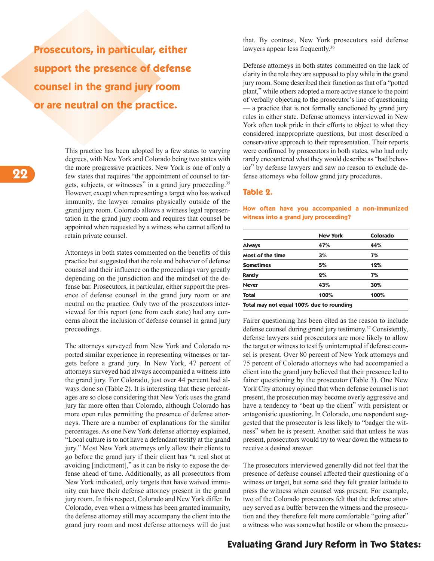**Prosecutors, in particular, either support the presence of defense counsel in the grand jury room or are neutral on the practice.**

> This practice has been adopted by a few states to varying degrees, with New York and Colorado being two states with the more progressive practices. New York is one of only a few states that requires "the appointment of counsel to targets, subjects, or witnesses" in a grand jury proceeding.<sup>35</sup> However, except when representing a target who has waived immunity, the lawyer remains physically outside of the grand jury room. Colorado allows a witness legal representation in the grand jury room and requires that counsel be appointed when requested by a witness who cannot afford to retain private counsel.

> Attorneys in both states commented on the benefits of this practice but suggested that the role and behavior of defense counsel and their influence on the proceedings vary greatly depending on the jurisdiction and the mindset of the defense bar. Prosecutors, in particular, either support the presence of defense counsel in the grand jury room or are neutral on the practice. Only two of the prosecutors interviewed for this report (one from each state) had any concerns about the inclusion of defense counsel in grand jury proceedings.

> The attorneys surveyed from New York and Colorado reported similar experience in representing witnesses or targets before a grand jury. In New York, 47 percent of attorneys surveyed had always accompanied a witness into the grand jury. For Colorado, just over 44 percent had always done so (Table 2). It is interesting that these percentages are so close considering that New York uses the grand jury far more often than Colorado, although Colorado has more open rules permitting the presence of defense attorneys. There are a number of explanations for the similar percentages. As one New York defense attorney explained, "Local culture is to not have a defendant testify at the grand jury." Most New York attorneys only allow their clients to go before the grand jury if their client has "a real shot at avoiding [indictment]," as it can be risky to expose the defense ahead of time. Additionally, as all prosecutors from New York indicated, only targets that have waived immunity can have their defense attorney present in the grand jury room. In this respect, Colorado and New York differ. In Colorado, even when a witness has been granted immunity, the defense attorney still may accompany the client into the grand jury room and most defense attorneys will do just

that. By contrast, New York prosecutors said defense lawyers appear less frequently.<sup>36</sup>

Defense attorneys in both states commented on the lack of clarity in the role they are supposed to play while in the grand jury room. Some described their function as that of a "potted" plant," while others adopted a more active stance to the point of verbally objecting to the prosecutor's line of questioning — a practice that is not formally sanctioned by grand jury rules in either state. Defense attorneys interviewed in New York often took pride in their efforts to object to what they considered inappropriate questions, but most described a conservative approach to their representation. Their reports were confirmed by prosecutors in both states, who had only rarely encountered what they would describe as "bad behavior" by defense lawyers and saw no reason to exclude defense attorneys who follow grand jury procedures.

#### **Table 2.**

**New York Colorado Always 47% 44% Most of the time 3% 7% Sometimes 5% 12% Rarely 2% 7% Never 43% 30% Total 100% 100%**

**How often have you accompanied a non-immunized**

**Total may not equal 100% due to rounding**

**witness into a grand jury proceeding?**

Fairer questioning has been cited as the reason to include defense counsel during grand jury testimony. <sup>37</sup> Consistently, defense lawyers said prosecutors are more likely to allow the target or witness to testify uninterrupted if defense counsel is present. Over 80 percent of New York attorneys and 75 percent of Colorado attorneys who had accompanied a client into the grand jury believed that their presence led to fairer questioning by the prosecutor (Table 3). One New York City attorney opined that when defense counsel is not present, the prosecution may become overly aggressive and have a tendency to "beat up the client" with persistent or antagonistic questioning. In Colorado, one respondent suggested that the prosecutor is less likely to "badger the witness" when he is present. Another said that unless he was present, prosecutors would try to wear down the witness to receive a desired answer.

The prosecutors interviewed generally did not feel that the presence of defense counsel affected their questioning of a witness or target, but some said they felt greater latitude to press the witness when counsel was present. For example, two of the Colorado prosecutors felt that the defense attorney served as a buffer between the witness and the prosecution and they therefore felt more comfortable "going after" a witness who was somewhat hostile or whom the prosecu-

#### **Evaluating Grand Jury Reform in Two States:**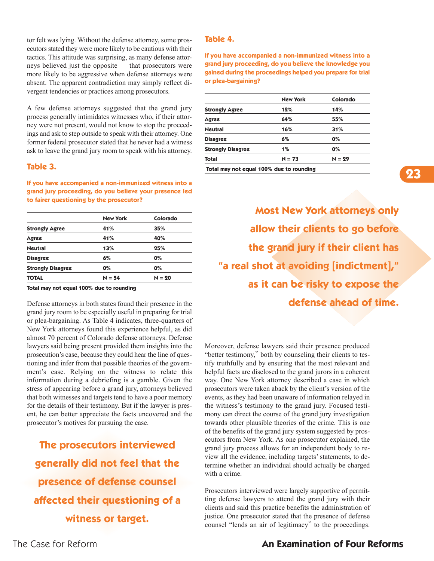tor felt was lying. Without the defense attorney, some prosecutors stated they were more likely to be cautious with their tactics. This attitude was surprising, as many defense attorneys believed just the opposite — that prosecutors were more likely to be aggressive when defense attorneys were absent. The apparent contradiction may simply reflect divergent tendencies or practices among prosecutors.

A few defense attorneys suggested that the grand jury process generally intimidates witnesses who, if their attorney were not present, would not know to stop the proceedings and ask to step outside to speak with their attorney. One former federal prosecutor stated that he never had a witness ask to leave the grand jury room to speak with his attorney.

#### **Table 3.**

**If you have accompanied a non-immunized witness into a grand jury proceeding, do you believe your presence led to fairer questioning by the prosecutor?**

| 41%                                      | 35%      |
|------------------------------------------|----------|
|                                          |          |
| 41%                                      | 40%      |
| 13%                                      | 25%      |
| 6%                                       | $0\%$    |
| $0\%$                                    | $0\%$    |
| $N = 54$                                 | $N = 20$ |
| Total may not equal 100% due to rounding |          |

Defense attorneys in both states found their presence in the grand jury room to be especially useful in preparing for trial or plea-bargaining. As Table 4 indicates, three-quarters of New York attorneys found this experience helpful, as did almost 70 percent of Colorado defense attorneys. Defense lawyers said being present provided them insights into the prosecution's case, because they could hear the line of questioning and infer from that possible theories of the government's case. Relying on the witness to relate this information during a debriefing is a gamble. Given the stress of appearing before a grand jury, attorneys believed that both witnesses and targets tend to have a poor memory for the details of their testimony. But if the lawyer is present, he can better appreciate the facts uncovered and the prosecutor's motives for pursuing the case.

**The prosecutors interviewed generally did not feel that the presence of defense counsel affected their questioning of a witness or target.**

#### **Table 4.**

**If you have accompanied a non-immunized witness into a grand jury proceeding, do you believe the knowledge you gained during the proceedings helped you prepare for trial or plea-bargaining?**

|                          | <b>New York</b> | Colorado |
|--------------------------|-----------------|----------|
| <b>Strongly Agree</b>    | 12%             | 14%      |
| Agree                    | 64%             | 55%      |
| <b>Neutral</b>           | 16%             | 31%      |
| <b>Disagree</b>          | 6%              | 0%       |
| <b>Strongly Disagree</b> | $1\%$           | 0%       |
| <b>Total</b>             | $N = 73$        | $N = 29$ |

**Total may not equal 100% due to rounding**

**Most New York attorneys only allow their clients to go before the grand jury if their client has "a real shot at avoiding [indictment]," as it can be risky to expose the defense ahead of time.**

Moreover, defense lawyers said their presence produced "better testimony," both by counseling their clients to testify truthfully and by ensuring that the most relevant and helpful facts are disclosed to the grand jurors in a coherent way. One New York attorney described a case in which prosecutors were taken aback by the client's version of the events, as they had been unaware of information relayed in the witness's testimony to the grand jury. Focused testimony can direct the course of the grand jury investigation towards other plausible theories of the crime. This is one of the benefits of the grand jury system suggested by prosecutors from New York. As one prosecutor explained, the grand jury process allows for an independent body to review all the evidence, including targets' statements, to determine whether an individual should actually be charged with a crime.

Prosecutors interviewed were largely supportive of permitting defense lawyers to attend the grand jury with their clients and said this practice benefits the administration of justice. One prosecutor stated that the presence of defense counsel "lends an air of legitimacy" to the proceedings.

### The Case for Reform **An Examination of Four Reforms**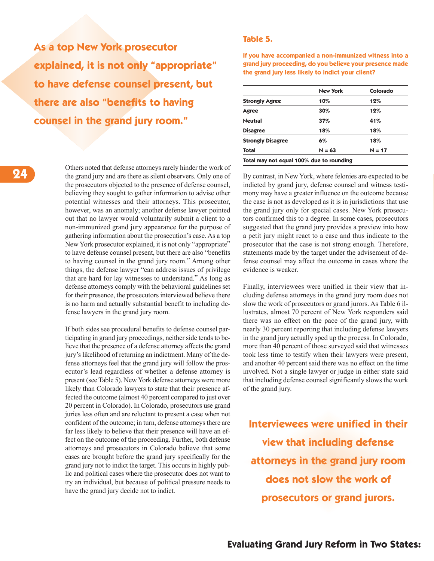**As a top New York prosecutor explained, it is not only "appropriate" to have defense counsel present, but there are also "benefits to having counsel in the grand jury room."**

#### **Table 5.**

**If you have accompanied a non-immunized witness into a grand jury proceeding, do you believe your presence made the grand jury less likely to indict your client?**

|                          | <b>New York</b> | Colorado |
|--------------------------|-----------------|----------|
| <b>Strongly Agree</b>    | 10%             | 12%      |
| Agree                    | 30%             | 12%      |
| <b>Neutral</b>           | 37%             | 41%      |
| <b>Disagree</b>          | 18%             | 18%      |
| <b>Strongly Disagree</b> | 6%              | 18%      |
| Total                    | $N = 63$        | $N = 17$ |

Others noted that defense attorneys rarely hinder the work of the grand jury and are there as silent observers. Only one of the prosecutors objected to the presence of defense counsel, believing they sought to gather information to advise other potential witnesses and their attorneys. This prosecutor, however, was an anomaly; another defense lawyer pointed out that no lawyer would voluntarily submit a client to a non-immunized grand jury appearance for the purpose of gathering information about the prosecution's case. As a top New York prosecutor explained, it is not only "appropriate" to have defense counsel present, but there are also "benefits to having counsel in the grand jury room." Among other things, the defense lawyer "can address issues of privilege that are hard for lay witnesses to understand." As long as defense attorneys comply with the behavioral guidelines set for their presence, the prosecutors interviewed believe there is no harm and actually substantial benefit to including defense lawyers in the grand jury room.

If both sides see procedural benefits to defense counsel participating in grand jury proceedings, neither side tends to believe that the presence of a defense attorney affects the grand jury's likelihood of returning an indictment. Many of the defense attorneys feel that the grand jury will follow the prosecutor's lead regardless of whether a defense attorney is present (see Table 5). New York defense attorneys were more likely than Colorado lawyers to state that their presence affected the outcome (almost 40 percent compared to just over 20 percent in Colorado). In Colorado, prosecutors use grand juries less often and are reluctant to present a case when not confident of the outcome; in turn, defense attorneys there are far less likely to believe that their presence will have an effect on the outcome of the proceeding. Further, both defense attorneys and prosecutors in Colorado believe that some cases are brought before the grand jury specifically for the grand jury not to indict the target. This occurs in highly public and political cases where the prosecutor does not want to try an individual, but because of political pressure needs to have the grand jury decide not to indict.

By contrast, in New York, where felonies are expected to be indicted by grand jury, defense counsel and witness testimony may have a greater influence on the outcome because the case is not as developed as it is in jurisdictions that use the grand jury only for special cases. New York prosecutors confirmed this to a degree. In some cases, prosecutors suggested that the grand jury provides a preview into how a petit jury might react to a case and thus indicate to the prosecutor that the case is not strong enough. Therefore, statements made by the target under the advisement of defense counsel may affect the outcome in cases where the evidence is weaker.

Finally, interviewees were unified in their view that including defense attorneys in the grand jury room does not slow the work of prosecutors or grand jurors. As Table 6 illustrates, almost 70 percent of New York responders said there was no effect on the pace of the grand jury, with nearly 30 percent reporting that including defense lawyers in the grand jury actually sped up the process. In Colorado, more than 40 percent of those surveyed said that witnesses took less time to testify when their lawyers were present, and another 40 percent said there was no effect on the time involved. Not a single lawyer or judge in either state said that including defense counsel significantly slows the work of the grand jury.

**Interviewees were unified in their view that including defense attorneys in the grand jury room does not slow the work of prosecutors or grand jurors.**

**Evaluating Grand Jury Reform in Two States:**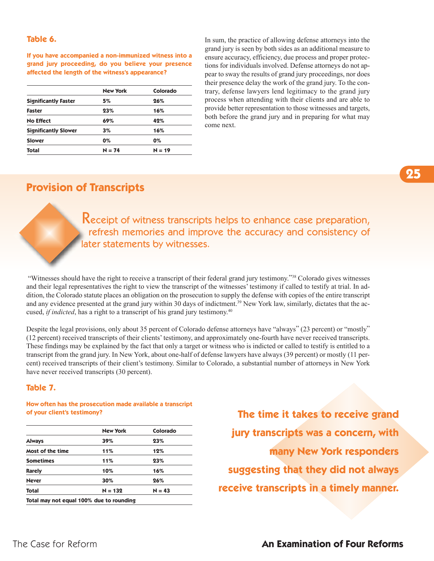#### **Table 6.**

**If you have accompanied a non-immunized witness into a grand jury proceeding, do you believe your presence affected the length of the witness's appearance?**

|                             | <b>New York</b> | Colorado |
|-----------------------------|-----------------|----------|
| <b>Significantly Faster</b> | 5%              | 26%      |
| Faster                      | 23%             | 16%      |
| <b>No Effect</b>            | 69%             | 42%      |
| <b>Significantly Slower</b> | 3%              | 16%      |
| <b>Slower</b>               | $0\%$           | $0\%$    |
| Total                       | $N = 74$        | $N = 19$ |

In sum, the practice of allowing defense attorneys into the grand jury is seen by both sides as an additional measure to ensure accuracy, efficiency, due process and proper protections for individuals involved. Defense attorneys do not appear to sway the results of grand jury proceedings, nor does their presence delay the work of the grand jury. To the contrary, defense lawyers lend legitimacy to the grand jury process when attending with their clients and are able to provide better representation to those witnesses and targets, both before the grand jury and in preparing for what may come next.

# **Provision of Transcripts**

Receipt of witness transcripts helps to enhance case preparation, refresh memories and improve the accuracy and consistency of later statements by witnesses.

"Witnesses should have the right to receive a transcript of their federal grand jury testimony."38 Colorado gives witnesses and their legal representatives the right to view the transcript of the witnesses' testimony if called to testify at trial. In addition, the Colorado statute places an obligation on the prosecution to supply the defense with copies of the entire transcript and any evidence presented at the grand jury within 30 days of indictment.<sup>39</sup> New York law, similarly, dictates that the accused, *if indicted*, has a right to a transcript of his grand jury testimony. 40

Despite the legal provisions, only about 35 percent of Colorado defense attorneys have "always" (23 percent) or "mostly" (12 percent) received transcripts of their clients'testimony, and approximately one-fourth have never received transcripts. These findings may be explained by the fact that only a target or witness who is indicted or called to testify is entitled to a transcript from the grand jury. In New York, about one-half of defense lawyers have always (39 percent) or mostly (11 percent) received transcripts of their client's testimony. Similar to Colorado, a substantial number of attorneys in New York have never received transcripts (30 percent).

#### **Table 7.**

#### **How often has the prosecution made available a transcript of your client's testimony?**

|                                          | <b>New York</b> | Colorado |
|------------------------------------------|-----------------|----------|
| <b>Always</b>                            | 39%             | 23%      |
| Most of the time                         | 11%             | 12%      |
| <b>Sometimes</b>                         | 11%             | 23%      |
| <b>Rarely</b>                            | 10%             | 16%      |
| <b>Never</b>                             | 30%             | 26%      |
| <b>Total</b>                             | $N = 132$       | $N = 43$ |
| Total may not equal 100% due to rounding |                 |          |

**The time it takes to receive grand jury transcripts was a concern, with many New York responders suggesting that they did not always receive transcripts in a timely manner.**

### The Case for Reform **An Examination of Four Reforms**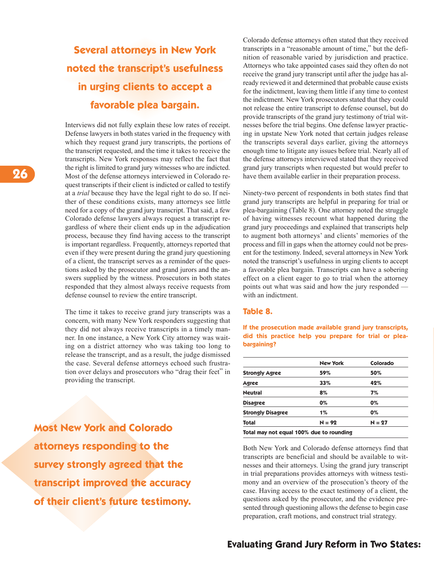# **Several attorneys in New York noted the transcript's usefulness in urging clients to accept a favorable plea bargain.**

Interviews did not fully explain these low rates of receipt. Defense lawyers in both states varied in the frequency with which they request grand jury transcripts, the portions of the transcript requested, and the time it takes to receive the transcripts. New York responses may reflect the fact that the right is limited to grand jury witnesses who are indicted. Most of the defense attorneys interviewed in Colorado request transcripts if their client is indicted or called to testify at a *trial* because they have the legal right to do so. If neither of these conditions exists, many attorneys see little need for a copy of the grand jury transcript. That said, a few Colorado defense lawyers always request a transcript regardless of where their client ends up in the adjudication process, because they find having access to the transcript is important regardless. Frequently, attorneys reported that even if they were present during the grand jury questioning of a client, the transcript serves as a reminder of the questions asked by the prosecutor and grand jurors and the answers supplied by the witness. Prosecutors in both states responded that they almost always receive requests from defense counsel to review the entire transcript.

The time it takes to receive grand jury transcripts was a concern, with many New York responders suggesting that they did not always receive transcripts in a timely manner. In one instance, a New York City attorney was waiting on a district attorney who was taking too long to release the transcript, and as a result, the judge dismissed the case. Several defense attorneys echoed such frustration over delays and prosecutors who "drag their feet" in providing the transcript.

**Most New York and Colorado attorneys responding to the survey strongly agreed that the transcript improved the accuracy of their client's future testimony.**

Colorado defense attorneys often stated that they received transcripts in a "reasonable amount of time," but the definition of reasonable varied by jurisdiction and practice. Attorneys who take appointed cases said they often do not receive the grand jury transcript until after the judge has already reviewed it and determined that probable cause exists for the indictment, leaving them little if any time to contest the indictment. New York prosecutors stated that they could not release the entire transcript to defense counsel, but do provide transcripts of the grand jury testimony of trial witnesses before the trial begins. One defense lawyer practicing in upstate New York noted that certain judges release the transcripts several days earlier, giving the attorneys enough time to litigate any issues before trial. Nearly all of the defense attorneys interviewed stated that they received grand jury transcripts when requested but would prefer to have them available earlier in their preparation process.

Ninety-two percent of respondents in both states find that grand jury transcripts are helpful in preparing for trial or plea-bargaining (Table 8). One attorney noted the struggle of having witnesses recount what happened during the grand jury proceedings and explained that transcripts help to augment both attorneys' and clients' memories of the process and fill in gaps when the attorney could not be present for the testimony. Indeed, several attorneys in New York noted the transcript's usefulness in urging clients to accept a favorable plea bargain. Transcripts can have a sobering effect on a client eager to go to trial when the attorney points out what was said and how the jury responded with an indictment.

#### **Table 8.**

**If the prosecution made available grand jury transcripts, did this practice help you prepare for trial or pleabargaining?**

| 59%      | 50%      |
|----------|----------|
| 33%      | 42%      |
| 8%       | 7%       |
| 0%       | 0%       |
| $1\%$    | $0\%$    |
| $N = 92$ | $N = 27$ |
|          |          |

**Total may not equal 100% due to rounding**

Both New York and Colorado defense attorneys find that transcripts are beneficial and should be available to witnesses and their attorneys. Using the grand jury transcript in trial preparations provides attorneys with witness testimony and an overview of the prosecution's theory of the case. Having access to the exact testimony of a client, the questions asked by the prosecutor, and the evidence presented through questioning allows the defense to begin case preparation, craft motions, and construct trial strategy.

### **Evaluating Grand Jury Reform in Two States:**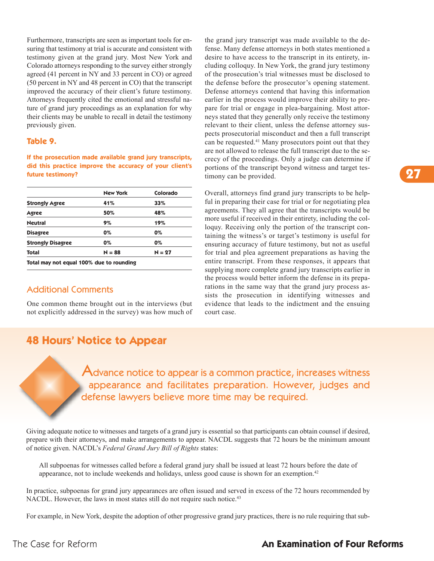Furthermore, transcripts are seen as important tools for ensuring that testimony at trial is accurate and consistent with testimony given at the grand jury. Most New York and Colorado attorneys responding to the survey either strongly agreed (41 percent in NY and 33 percent in CO) or agreed (50 percent in NY and 48 percent in CO) that the transcript improved the accuracy of their client's future testimony. Attorneys frequently cited the emotional and stressful nature of grand jury proceedings as an explanation for why their clients may be unable to recall in detail the testimony previously given.

#### **Table 9.**

**If the prosecution made available grand jury transcripts, did this practice improve the accuracy of your client's future testimony?**

|                          | <b>New York</b> | Colorado |
|--------------------------|-----------------|----------|
| <b>Strongly Agree</b>    | 41%             | 33%      |
| Agree                    | 50%             | 48%      |
| <b>Neutral</b>           | 9%              | 19%      |
| <b>Disagree</b>          | 0%              | 0%       |
| <b>Strongly Disagree</b> | 0%              | 0%       |
| <b>Total</b>             | $N = 88$        | $N = 27$ |

**Total may not equal 100% due to rounding**

### Additional Comments

One common theme brought out in the interviews (but not explicitly addressed in the survey) was how much of the grand jury transcript was made available to the defense. Many defense attorneys in both states mentioned a desire to have access to the transcript in its entirety, including colloquy. In New York, the grand jury testimony of the prosecution's trial witnesses must be disclosed to the defense before the prosecutor's opening statement. Defense attorneys contend that having this information earlier in the process would improve their ability to prepare for trial or engage in plea-bargaining. Most attorneys stated that they generally only receive the testimony relevant to their client, unless the defense attorney suspects prosecutorial misconduct and then a full transcript can be requested. <sup>41</sup> Many prosecutors point out that they are not allowed to release the full transcript due to the secrecy of the proceedings. Only a judge can determine if portions of the transcript beyond witness and target testimony can be provided.

Overall, attorneys find grand jury transcripts to be helpful in preparing their case for trial or for negotiating plea agreements. They all agree that the transcripts would be more useful if received in their entirety, including the colloquy. Receiving only the portion of the transcript containing the witness's or target's testimony is useful for ensuring accuracy of future testimony, but not as useful for trial and plea agreement preparations as having the entire transcript. From these responses, it appears that supplying more complete grand jury transcripts earlier in the process would better inform the defense in its preparations in the same way that the grand jury process assists the prosecution in identifying witnesses and evidence that leads to the indictment and the ensuing court case.

# **48 Hours' Notice to Appear**

Advance notice to appear is a common practice, increases witness appearance and facilitates preparation. However, judges and defense lawyers believe more time may be required.

Giving adequate notice to witnesses and targets of a grand jury is essential so that participants can obtain counsel if desired, prepare with their attorneys, and make arrangements to appear. NACDL suggests that 72 hours be the minimum amount of notice given. NACDL's *Federal Grand Jury Bill of Rights* states:

All subpoenas for witnesses called before a federal grand jury shall be issued at least 72 hours before the date of appearance, not to include weekends and holidays, unless good cause is shown for an exemption.<sup>42</sup>

In practice, subpoenas for grand jury appearances are often issued and served in excess of the 72 hours recommended by NACDL. However, the laws in most states still do not require such notice.<sup>43</sup>

For example, in New York, despite the adoption of other progressive grand jury practices, there is no rule requiring that sub-

**27**

### The Case for Reform **An Examination of Four Reforms**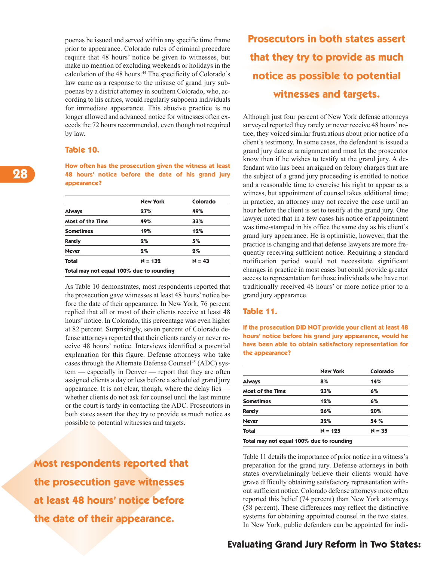poenas be issued and served within any specific time frame prior to appearance. Colorado rules of criminal procedure require that 48 hours' notice be given to witnesses, but make no mention of excluding weekends or holidays in the calculation of the 48 hours. <sup>44</sup> The specificity of Colorado's law came as a response to the misuse of grand jury subpoenas by a district attorney in southern Colorado, who, according to his critics, would regularly subpoena individuals for immediate appearance. This abusive practice is no longer allowed and advanced notice for witnesses often exceeds the 72 hours recommended, even though not required by law.

#### **Table 10.**

**How often has the prosecution given the witness at least 48 hours' notice before the date of his grand jury appearance?**

|                                          | <b>New York</b> | Colorado |
|------------------------------------------|-----------------|----------|
| <b>Always</b>                            | 27%             | 49%      |
| Most of the Time                         | 49%             | 33%      |
| <b>Sometimes</b>                         | 19%             | 12%      |
| <b>Rarely</b>                            | 2%              | 5%       |
| <b>Never</b>                             | $2\%$           | 2%       |
| <b>Total</b>                             | $N = 132$       | $N = 43$ |
| Total may not equal 100% due to rounding |                 |          |

As Table 10 demonstrates, most respondents reported that the prosecution gave witnesses at least 48 hours' notice before the date of their appearance. In New York, 76 percent replied that all or most of their clients receive at least 48 hours' notice. In Colorado, this percentage was even higher at 82 percent. Surprisingly, seven percent of Colorado defense attorneys reported that their clients rarely or never receive 48 hours' notice. Interviews identified a potential explanation for this figure. Defense attorneys who take cases through the Alternate Defense Counsel <sup>45</sup> (ADC) system — especially in Denver — report that they are often assigned clients a day or less before a scheduled grand jury appearance. It is not clear, though, where the delay lies whether clients do not ask for counsel until the last minute or the court is tardy in contacting the ADC. Prosecutors in both states assert that they try to provide as much notice as possible to potential witnesses and targets.

**Most respondents reported that the prosecution gave witnesses at least 48 hours' notice before the date of their appearance.**

# **Prosecutors in both states assert that they try to provide as much notice as possible to potential witnesses and targets.**

Although just four percent of New York defense attorneys surveyed reported they rarely or never receive 48 hours' notice, they voiced similar frustrations about prior notice of a client's testimony. In some cases, the defendant is issued a grand jury date at arraignment and must let the prosecutor know then if he wishes to testify at the grand jury. A defendant who has been arraigned on felony charges that are the subject of a grand jury proceeding is entitled to notice and a reasonable time to exercise his right to appear as a witness, but appointment of counsel takes additional time; in practice, an attorney may not receive the case until an hour before the client is set to testify at the grand jury. One lawyer noted that in a few cases his notice of appointment was time-stamped in his office the same day as his client's grand jury appearance. He is optimistic, however, that the practice is changing and that defense lawyers are more frequently receiving sufficient notice. Requiring a standard notification period would not necessitate significant changes in practice in most cases but could provide greater access to representation for those individuals who have not traditionally received 48 hours' or more notice prior to a grand jury appearance.

#### **Table 11.**

**If the prosecution DID NOT provide your client at least 48 hours' notice before his grand jury appearance, would he have been able to obtain satisfactory representation for the appearance?**

|                  | <b>New York</b> | Colorado |
|------------------|-----------------|----------|
| <b>Always</b>    | 8%              | 14%      |
| Most of the Time | 23%             | 6%       |
| <b>Sometimes</b> | 12%             | 6%       |
| <b>Rarely</b>    | 26%             | 20%      |
| <b>Never</b>     | 32%             | 54 %     |
| <b>Total</b>     | $N = 125$       | $N = 35$ |

**Total may not equal 100% due to rounding**

Table 11 details the importance of prior notice in a witness's preparation for the grand jury. Defense attorneys in both states overwhelmingly believe their clients would have grave difficulty obtaining satisfactory representation without sufficient notice. Colorado defense attorneys more often reported this belief (74 percent) than New York attorneys (58 percent). These differences may reflect the distinctive systems for obtaining appointed counsel in the two states. In New York, public defenders can be appointed for indi-

### **Evaluating Grand Jury Reform in Two States:**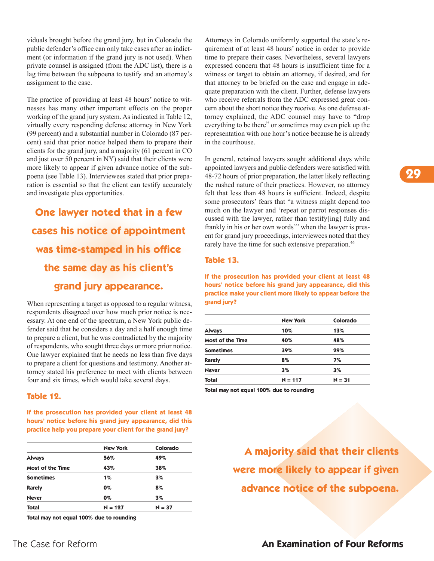viduals brought before the grand jury, but in Colorado the public defender's office can only take cases after an indictment (or information if the grand jury is not used). When private counsel is assigned (from the ADC list), there is a lag time between the subpoena to testify and an attorney's assignment to the case.

The practice of providing at least 48 hours' notice to witnesses has many other important effects on the proper working of the grand jury system. As indicated in Table 12, virtually every responding defense attorney in New York (99 percent) and a substantial number in Colorado (87 percent) said that prior notice helped them to prepare their clients for the grand jury, and a majority (61 percent in CO and just over 50 percent in NY) said that their clients were more likely to appear if given advance notice of the subpoena (see Table 13). Interviewees stated that prior preparation is essential so that the client can testify accurately and investigate plea opportunities.

# **One lawyer noted that in a few cases his notice of appointment was time-stamped in his office the same day as his client's grand jury appearance.**

When representing a target as opposed to a regular witness, respondents disagreed over how much prior notice is necessary. At one end of the spectrum, a New York public defender said that he considers a day and a half enough time to prepare a client, but he was contradicted by the majority of respondents, who sought three days or more prior notice. One lawyer explained that he needs no less than five days to prepare a client for questions and testimony. Another attorney stated his preference to meet with clients between four and six times, which would take several days.

#### **Table 12.**

**If the prosecution has provided your client at least 48 hours' notice before his grand jury appearance, did this practice help you prepare your client for the grand jury?**

|                  | <b>New York</b> | Colorado |
|------------------|-----------------|----------|
| <b>Always</b>    | 56%             | 49%      |
| Most of the Time | 43%             | 38%      |
| <b>Sometimes</b> | $1\%$           | 3%       |
| <b>Rarely</b>    | $0\%$           | 8%       |
| <b>Never</b>     | $0\%$           | 3%       |
| <b>Total</b>     | $N = 127$       | $N = 37$ |

Attorneys in Colorado uniformly supported the state's requirement of at least 48 hours' notice in order to provide time to prepare their cases. Nevertheless, several lawyers expressed concern that 48 hours is insufficient time for a witness or target to obtain an attorney, if desired, and for that attorney to be briefed on the case and engage in adequate preparation with the client. Further, defense lawyers who receive referrals from the ADC expressed great concern about the short notice they receive. As one defense attorney explained, the ADC counsel may have to "drop everything to be there" or sometimes may even pick up the representation with one hour's notice because he is already in the courthouse.

In general, retained lawyers sought additional days while appointed lawyers and public defenders were satisfied with 48-72 hours of prior preparation, the latter likely reflecting the rushed nature of their practices. However, no attorney felt that less than 48 hours is sufficient. Indeed, despite some prosecutors' fears that "a witness might depend too much on the lawyer and 'repeat or parrot responses discussed with the lawyer, rather than testify[ing] fully and frankly in his or her own words''' when the lawyer is present for grand jury proceedings, interviewees noted that they rarely have the time for such extensive preparation. 46

#### **Table 13.**

**If the prosecution has provided your client at least 48 hours' notice before his grand jury appearance, did this practice make your client more likely to appear before the grand jury?**

|                  | <b>New York</b> | Colorado |
|------------------|-----------------|----------|
| <b>Always</b>    | 10%             | 13%      |
| Most of the Time | 40%             | 48%      |
| <b>Sometimes</b> | 39%             | 29%      |
| <b>Rarely</b>    | 8%              | 7%       |
| <b>Never</b>     | 3%              | 3%       |
| <b>Total</b>     | $N = 117$       | $N = 31$ |

**A majority said that their clients were more likely to appear if given advance notice of the subpoena.**

### The Case for Reform **An Examination of Four Reforms**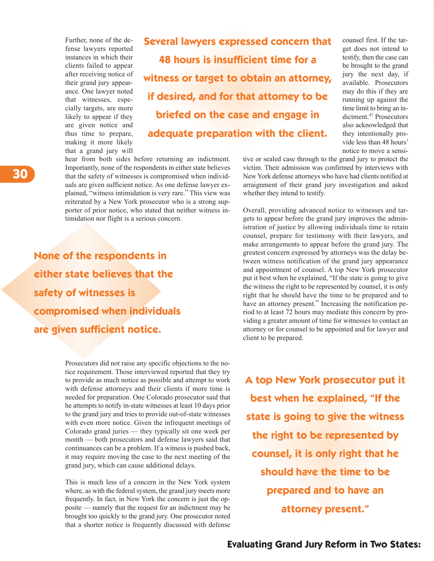Further, none of the defense lawyers reported instances in which their clients failed to appear after receiving notice of their grand jury appearance. One lawyer noted that witnesses, especially targets, are more likely to appear if they are given notice and thus time to prepare, making it more likely that a grand jury will

**Several lawyers expressed concern that 48 hours is insufficient time for a witness or target to obtain an attorney, if desired, and for that attorney to be briefed on the case and engage in adequate preparation with the client.**

hear from both sides before returning an indictment. Importantly, none of the respondents in either state believes that the safety of witnesses is compromised when individuals are given sufficient notice. As one defense lawyer explained, "witness intimidation is very rare." This view was reiterated by a New York prosecutor who is a strong supporter of prior notice, who stated that neither witness intimidation nor flight is a serious concern.

**None of the respondents in either state believes that the safety of witnesses is compromised when individuals are given sufficient notice.**

> Prosecutors did not raise any specific objections to the notice requirement. Those interviewed reported that they try to provide as much notice as possible and attempt to work with defense attorneys and their clients if more time is needed for preparation. One Colorado prosecutor said that he attempts to notify in-state witnesses at least 10 days prior to the grand jury and tries to provide out-of-state witnesses with even more notice. Given the infrequent meetings of Colorado grand juries — they typically sit one week per month — both prosecutors and defense lawyers said that continuances can be a problem. If a witness is pushed back, it may require moving the case to the next meeting of the grand jury, which can cause additional delays.

> This is much less of a concern in the New York system where, as with the federal system, the grand jury meets more frequently. In fact, in New York the concern is just the opposite — namely that the request for an indictment may be brought too quickly to the grand jury. One prosecutor noted that a shorter notice is frequently discussed with defense

counsel first. If the target does not intend to testify, then the case can be brought to the grand jury the next day, if available. Prosecutors may do this if they are running up against the time limit to bring an indictment. <sup>47</sup> Prosecutors also acknowledged that they intentionally provide less than 48 hours' notice to move a sensi-

tive or sealed case through to the grand jury to protect the victim. Their admission was confirmed by interviews with New York defense attorneys who have had clients notified at arraignment of their grand jury investigation and asked whether they intend to testify.

Overall, providing advanced notice to witnesses and targets to appear before the grand jury improves the administration of justice by allowing individuals time to retain counsel, prepare for testimony with their lawyers, and make arrangements to appear before the grand jury. The greatest concern expressed by attorneys was the delay between witness notification of the grand jury appearance and appointment of counsel. A top New York prosecutor put it best when he explained, "If the state is going to give the witness the right to be represented by counsel, it is only right that he should have the time to be prepared and to have an attorney present." Increasing the notification period to at least 72 hours may mediate this concern by providing a greater amount of time for witnesses to contact an attorney or for counsel to be appointed and for lawyer and client to be prepared.

**A top New York prosecutor put it best when he explained, "If the state is going to give the witness the right to be represented by counsel, it is only right that he should have the time to be prepared and to have an attorney present."**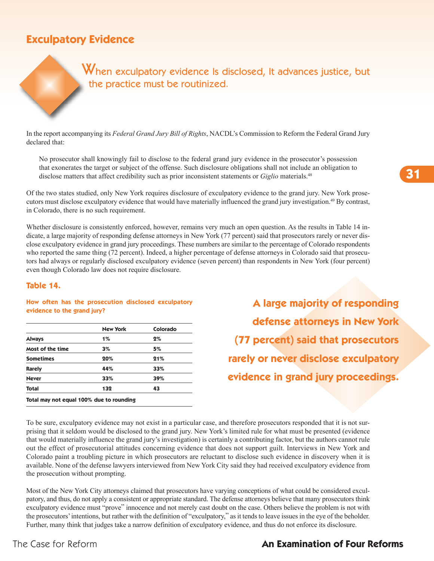# **Exculpatory Evidence**

When exculpatory evidence Is disclosed, It advances justice, but the practice must be routinized.

In the report accompanying its *Federal Grand Jury Bill of Rights*, NACDL's Commission to Reform the Federal Grand Jury declared that:

No prosecutor shall knowingly fail to disclose to the federal grand jury evidence in the prosecutor's possession that exonerates the target or subject of the offense. Such disclosure obligations shall not include an obligation to disclose matters that affect credibility such as prior inconsistent statements or *Giglio* materials. 48

Of the two states studied, only New York requires disclosure of exculpatory evidence to the grand jury. New York prosecutors must disclose exculpatory evidence that would have materially influenced the grand jury investigation. <sup>49</sup> By contrast, in Colorado, there is no such requirement.

Whether disclosure is consistently enforced, however, remains very much an open question. As the results in Table 14 indicate, a large majority of responding defense attorneys in New York (77 percent) said that prosecutors rarely or never disclose exculpatory evidence in grand jury proceedings. These numbers are similar to the percentage of Colorado respondents who reported the same thing (72 percent). Indeed, a higher percentage of defense attorneys in Colorado said that prosecutors had always or regularly disclosed exculpatory evidence (seven percent) than respondents in New York (four percent) even though Colorado law does not require disclosure.

#### **Table 14.**

#### **How often has the prosecution disclosed exculpatory evidence to the grand jury?**

|                  | <b>New York</b> | Colorado |
|------------------|-----------------|----------|
| <b>Always</b>    | $1\%$           | 2%       |
| Most of the time | 3%              | 5%       |
| <b>Sometimes</b> | 20%             | 21%      |
| <b>Rarely</b>    | 44%             | 33%      |
| <b>Never</b>     | 33%             | 39%      |
| Total            | 132             | 43       |

**A large majority of responding defense attorneys in New York (77 percent) said that prosecutors rarely or never disclose exculpatory evidence in grand jury proceedings.**

To be sure, exculpatory evidence may not exist in a particular case, and therefore prosecutors responded that it is not surprising that it seldom would be disclosed to the grand jury. New York's limited rule for what must be presented (evidence that would materially influence the grand jury's investigation) is certainly a contributing factor, but the authors cannot rule out the effect of prosecutorial attitudes concerning evidence that does not support guilt. Interviews in New York and Colorado paint a troubling picture in which prosecutors are reluctant to disclose such evidence in discovery when it is available. None of the defense lawyers interviewed from New York City said they had received exculpatory evidence from the prosecution without prompting.

Most of the New York City attorneys claimed that prosecutors have varying conceptions of what could be considered exculpatory, and thus, do not apply a consistent or appropriate standard. The defense attorneys believe that many prosecutors think exculpatory evidence must "prove" innocence and not merely cast doubt on the case. Others believe the problem is not with the prosecutors' intentions, but rather with the definition of "exculpatory," as it tends to leave issues in the eye of the beholder. Further, many think that judges take a narrow definition of exculpatory evidence, and thus do not enforce its disclosure.

### The Case for Reform **An Examination of Four Reforms**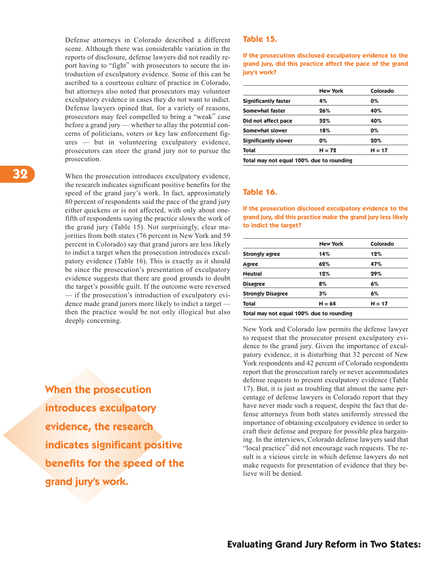Defense attorneys in Colorado described a different scene. Although there was considerable variation in the reports of disclosure, defense lawyers did not readily report having to "fight" with prosecutors to secure the introduction of exculpatory evidence. Some of this can be ascribed to a courteous culture of practice in Colorado, but attorneys also noted that prosecutors may volunteer exculpatory evidence in cases they do not want to indict. Defense lawyers opined that, for a variety of reasons, prosecutors may feel compelled to bring a "weak" case before a grand jury — whether to allay the potential concerns of politicians, voters or key law enforcement figures — but in volunteering exculpatory evidence, prosecutors can steer the grand jury not to pursue the prosecution.

When the prosecution introduces exculpatory evidence, the research indicates significant positive benefits for the speed of the grand jury's work. In fact, approximately 80 percent of respondents said the pace of the grand jury either quickens or is not affected, with only about onefifth of respondents saying the practice slows the work of the grand jury (Table 15). Not surprisingly, clear majorities from both states (76 percent in New York and 59 percent in Colorado) say that grand jurors are less likely to indict a target when the prosecution introduces exculpatory evidence (Table 16). This is exactly as it should be since the prosecution's presentation of exculpatory evidence suggests that there are good grounds to doubt the target's possible guilt. If the outcome were reversed — if the prosecution's introduction of exculpatory evidence made grand jurors more likely to indict a target then the practice would be not only illogical but also deeply concerning.

**When the prosecution introduces exculpatory evidence, the research indicates significant positive benefits for the speed of the grand jury's work.**

#### **Table 15.**

**If the prosecution disclosed exculpatory evidence to the grand jury, did this practice affect the pace of the grand jury's work?**

|                             | <b>New York</b> | Colorado |
|-----------------------------|-----------------|----------|
| <b>Significantly faster</b> | 4%              | 0%       |
| Somewhat faster             | 26%             | 40%      |
| Did not affect pace         | 52%             | 40%      |
| Somewhat slower             | 18%             | 0%       |
| <b>Significantly slower</b> | $0\%$           | 20%      |
| Total                       | $N = 72$        | $N = 17$ |

#### **Table 16.**

**If the prosecution disclosed exculpatory evidence to the grand jury, did this practice make the grand jury less likely to indict the target?**

|                          | <b>New York</b> | Colorado |
|--------------------------|-----------------|----------|
| <b>Strongly agree</b>    | 14%             | 12%      |
| Agree                    | 62%             | 47%      |
| <b>Neutral</b>           | 12%             | 29%      |
| <b>Disagree</b>          | 8%              | 6%       |
| <b>Strongly Disagree</b> | 3%              | 6%       |
| <b>Total</b>             | $N = 64$        | $N = 17$ |

New York and Colorado law permits the defense lawyer to request that the prosecutor present exculpatory evidence to the grand jury. Given the importance of exculpatory evidence, it is disturbing that 32 percent of New York respondents and 42 percent of Colorado respondents report that the prosecution rarely or never accommodates defense requests to present exculpatory evidence (Table 17). But, it is just as troubling that almost the same percentage of defense lawyers in Colorado report that they have never made such a request, despite the fact that defense attorneys from both states uniformly stressed the importance of obtaining exculpatory evidence in order to craft their defense and prepare for possible plea bargaining. In the interviews, Colorado defense lawyers said that "local practice" did not encourage such requests. The result is a vicious circle in which defense lawyers do not make requests for presentation of evidence that they believe will be denied.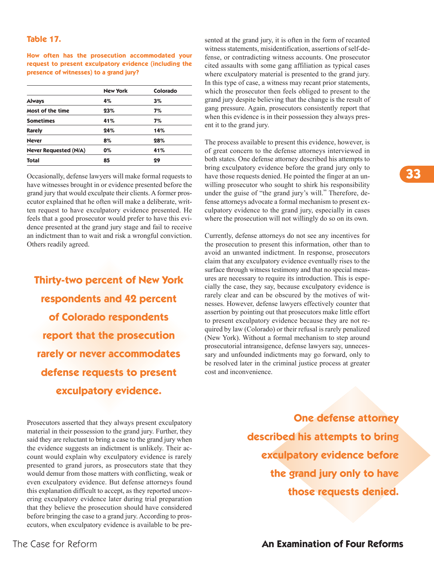#### **Table 17.**

**How often has the prosecution accommodated your request to present exculpatory evidence (including the presence of witnesses) to a grand jury?**

|                              | <b>New York</b> | Colorado |
|------------------------------|-----------------|----------|
| <b>Always</b>                | 4%              | 3%       |
| Most of the time             | 23%             | 7%       |
| <b>Sometimes</b>             | 41%             | 7%       |
| <b>Rarely</b>                | 24%             | 14%      |
| <b>Never</b>                 | 8%              | 28%      |
| <b>Never Requested (N/A)</b> | $0\%$           | 41%      |
| <b>Total</b>                 | 85              | 29       |

Occasionally, defense lawyers will make formal requests to have witnesses brought in or evidence presented before the grand jury that would exculpate their clients. A former prosecutor explained that he often will make a deliberate, written request to have exculpatory evidence presented. He feels that a good prosecutor would prefer to have this evidence presented at the grand jury stage and fail to receive an indictment than to wait and risk a wrongful conviction. Others readily agreed.

**Thirty-two percent of New York respondents and 42 percent of Colorado respondents report that the prosecution rarely or never accommodates defense requests to present exculpatory evidence.**

Prosecutors asserted that they always present exculpatory material in their possession to the grand jury. Further, they said they are reluctant to bring a case to the grand jury when the evidence suggests an indictment is unlikely. Their account would explain why exculpatory evidence is rarely presented to grand jurors, as prosecutors state that they would demur from those matters with conflicting, weak or even exculpatory evidence. But defense attorneys found this explanation difficult to accept, as they reported uncovering exculpatory evidence later during trial preparation that they believe the prosecution should have considered before bringing the case to a grand jury. According to prosecutors, when exculpatory evidence is available to be presented at the grand jury, it is often in the form of recanted witness statements, misidentification, assertions of self-defense, or contradicting witness accounts. One prosecutor cited assaults with some gang affiliation as typical cases where exculpatory material is presented to the grand jury. In this type of case, a witness may recant prior statements, which the prosecutor then feels obliged to present to the grand jury despite believing that the change is the result of gang pressure. Again, prosecutors consistently report that when this evidence is in their possession they always present it to the grand jury.

The process available to present this evidence, however, is of great concern to the defense attorneys interviewed in both states. One defense attorney described his attempts to bring exculpatory evidence before the grand jury only to have those requests denied. He pointed the finger at an unwilling prosecutor who sought to shirk his responsibility under the guise of "the grand jury's will." Therefore, defense attorneys advocate a formal mechanism to present exculpatory evidence to the grand jury, especially in cases where the prosecution will not willingly do so on its own.

Currently, defense attorneys do not see any incentives for the prosecution to present this information, other than to avoid an unwanted indictment. In response, prosecutors claim that any exculpatory evidence eventually rises to the surface through witness testimony and that no special measures are necessary to require its introduction. This is especially the case, they say, because exculpatory evidence is rarely clear and can be obscured by the motives of witnesses. However, defense lawyers effectively counter that assertion by pointing out that prosecutors make little effort to present exculpatory evidence because they are not required by law (Colorado) or their refusal is rarely penalized (New York). Without a formal mechanism to step around prosecutorial intransigence, defense lawyers say, unnecessary and unfounded indictments may go forward, only to be resolved later in the criminal justice process at greater cost and inconvenience.

> **One defense attorney described his attempts to bring exculpatory evidence before the grand jury only to have those requests denied.**

**33**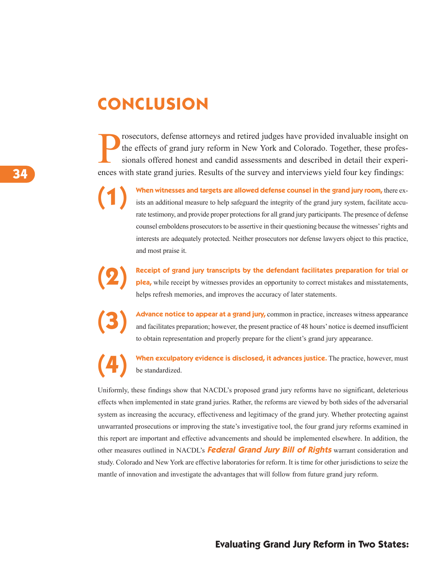# **CONCLUSION**

P rosecutors, defense attorneys and retired judges have provided invaluable insight on the effects of grand jury reform in New York and Colorado. Together, these professionals offered honest and candid assessments and described in detail their experiences with state grand juries. Results of the survey and interviews yield four key findings:

> **(1) When witnesses and targets are allowed defense counsel in the grand jury room,** there exists an additional measure to help safeguard the integrity of the grand jury system, facilitate accurate testimony, and provide proper protections for all grand jury participants. The presence of defense counsel emboldens prosecutors to be assertive in their questioning because the witnesses' rights and interests are adequately protected. Neither prosecutors nor defense lawyers object to this practice, and most praise it.

Receipt of grand jury transcripts by the defendant facilitates preparation for trial or plea, while receipt by witnesses provides an opportunity to correct mistakes and misstatements, helps refresh memories, and improves the accuracy of later statements.

Advance notice to appear at a grand jury, common in practice, increases witness appearance<br>and facilitates preparation; however, the present practice of 48 hours' notice is deemed insufficient to obtain representation and properly prepare for the client's grand jury appearance.

**(4) When exculpatory evidence is disclosed, it advances justice.** The practice, however, must be standardized.

Uniformly, these findings show that NACDL's proposed grand jury reforms have no significant, deleterious effects when implemented in state grand juries. Rather, the reforms are viewed by both sides of the adversarial system as increasing the accuracy, effectiveness and legitimacy of the grand jury. Whether protecting against unwarranted prosecutions or improving the state's investigative tool, the four grand jury reforms examined in this report are important and effective advancements and should be implemented elsewhere. In addition, the other measures outlined in NACDL's **Federal Grand Jury Bill of Rights** warrant consideration and study. Colorado and New York are effective laboratories for reform. It is time for other jurisdictions to seize the mantle of innovation and investigate the advantages that will follow from future grand jury reform.

### **Evaluating Grand Jury Reform in Two States:**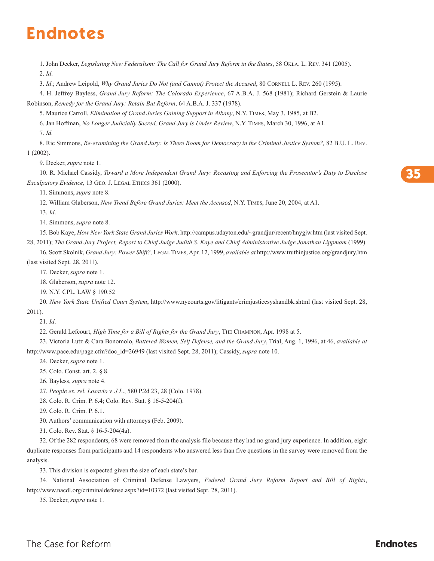# **Endnotes**

1. John Decker, *Legislating New Federalism: The Call for Grand Jury Reform in the States*, 58 OKLA. L. REv. 341 (2005). 2. *Id*.

3. *Id*.; Andrew Leipold, *Why Grand Juries Do Not (and Cannot) Protect the Accused*, 80 CORNELL L. REv. 260 (1995).

4. H. Jeffrey Bayless, *Grand Jury Reform: The Colorado Experience*, 67 A.B.A. J. 568 (1981); Richard Gerstein & Laurie Robinson, *Remedy for the Grand Jury: Retain But Reform*, 64 A.B.A. J. 337 (1978).

5. Maurice Carroll, *Elimination of Grand Juries Gaining Support in Albany*, N.Y. TIMES, May 3, 1985, at B2.

6. Jan Hoffman, *No Longer Judicially Sacred, Grand Jury is Under Review*, N.Y. TIMES, March 30, 1996, at A1.

7. *Id.*

8. Ric Simmons, *Re-examining the Grand Jury: Is There Room for Democracy in the Criminal Justice System?,* 82 B.U. L. REv. 1 (2002).

9. Decker, *supra* note 1.

10. R. Michael Cassidy, *Toward a More Independent Grand Jury: Recasting and Enforcing the Prosecutor's Duty to Disclose Exculpatory Evidence*, 13 GEO. J. LEGAL ETHICS 361 (2000).

11. Simmons, *supra* note 8.

12. William Glaberson, *New Trend Before Grand Juries: Meet the Accused*, N.Y. TIMES, June 20, 2004, at A1.

13. *Id*.

14. Simmons, *supra* note 8.

15. Bob Kaye, *How New York State Grand Juries Work*, http://campus.udayton.edu/~grandjur/recent/hnygjw.htm (last visited Sept.

28, 2011); The Grand Jury Project, Report to Chief Judge Judith S. Kaye and Chief Administrative Judge Jonathan Lippmam (1999). 16. Scott Skolnik, *Grand Jury: Power Shift?,* LEGAL TIMES, Apr. 12, 1999, *available at* http://www.truthinjustice.org/grandjury.htm (last visited Sept. 28, 2011).

17. Decker, *supra* note 1.

18. Glaberson, *supra* note 12.

19. N.Y. CPL. LAW § 190.52

20. *New York State Unified Court System*, http://www.nycourts.gov/litigants/crimjusticesyshandbk.shtml (last visited Sept. 28, 2011).

21. *Id*.

22. Gerald Lefcourt, *High Time for a Bill of Rights for the Grand Jury*, THE CHAMPION, Apr. 1998 at 5.

23. victoria Lutz & Cara Bonomolo, *Battered Women, Self Defense, and the Grand Jury*, Trial, Aug. 1, 1996, at 46, *available at* http://www.pace.edu/page.cfm?doc\_id=26949 (last visited Sept. 28, 2011); Cassidy, *supra* note 10.

24. Decker, *supra* note 1.

25. Colo. Const. art. 2, § 8.

26. Bayless, *supra* note 4.

27. *People ex. rel. Losavio v. J.L*., 580 P.2d 23, 28 (Colo. 1978).

28. Colo. R. Crim. P. 6.4; Colo. Rev. Stat. § 16-5-204(f).

29. Colo. R. Crim. P. 6.1.

30. Authors' communication with attorneys (Feb. 2009).

31. Colo. Rev. Stat. § 16-5-204(4a).

32. Of the 282 respondents, 68 were removed from the analysis file because they had no grand jury experience. In addition, eight duplicate responses from participants and 14 respondents who answered less than five questions in the survey were removed from the analysis.

33. This division is expected given the size of each state's bar.

34. National Association of Criminal Defense Lawyers, *Federal Grand Jury Reform Report and Bill of Rights*, http://www.nacdl.org/criminaldefense.aspx?id=10372 (last visited Sept. 28, 2011).

35. Decker, *supra* note 1.

**35**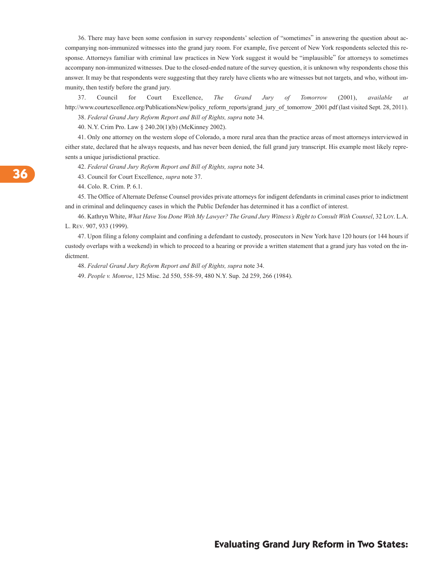36. There may have been some confusion in survey respondents' selection of "sometimes" in answering the question about accompanying non-immunized witnesses into the grand jury room. For example, five percent of New York respondents selected this response. Attorneys familiar with criminal law practices in New York suggest it would be "implausible" for attorneys to sometimes accompany non-immunized witnesses. Due to the closed-ended nature of the survey question, it is unknown why respondents chose this answer. It may be that respondents were suggesting that they rarely have clients who are witnesses but not targets, and who, without immunity, then testify before the grand jury.

37. Council for Court Excellence, *The Grand Jury of Tomorrow* (2001), *available at* http://www.courtexcellence.org/PublicationsNew/policy\_reform\_reports/grand\_jury\_of\_tomorrow\_2001.pdf (last visited Sept. 28, 2011).

38. *Federal Grand Jury Reform Report and Bill of Rights, supra* note 34.

40. N.Y. Crim Pro. Law § 240.20(1)(b) (McKinney 2002).

41. Only one attorney on the western slope of Colorado, a more rural area than the practice areas of most attorneys interviewed in either state, declared that he always requests, and has never been denied, the full grand jury transcript. His example most likely represents a unique jurisdictional practice.

42. *Federal Grand Jury Reform Report and Bill of Rights, supra* note 34.

43. Council for Court Excellence, *supra* note 37.

44. Colo. R. Crim. P. 6.1.

45. The Office of Alternate Defense Counsel provides private attorneys for indigent defendants in criminal cases prior to indictment and in criminal and delinquency cases in which the Public Defender has determined it has a conflict of interest.

46. Kathryn White, What Have You Done With My Lawyer? The Grand Jury Witness's Right to Consult With Counsel, 32 LOY. L.A. L. REv. 907, 933 (1999).

47. Upon filing a felony complaint and confining a defendant to custody, prosecutors in New York have 120 hours (or 144 hours if custody overlaps with a weekend) in which to proceed to a hearing or provide a written statement that a grand jury has voted on the indictment.

48. *Federal Grand Jury Reform Report and Bill of Rights, supra* note 34.

49. *People v. Monroe*, 125 Misc. 2d 550, 558-59, 480 N.Y. Sup. 2d 259, 266 (1984).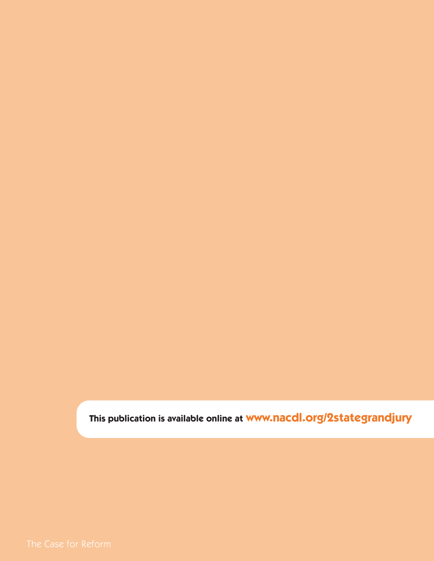**This publication is available online at www.nacdl.org/2stategrandjury**